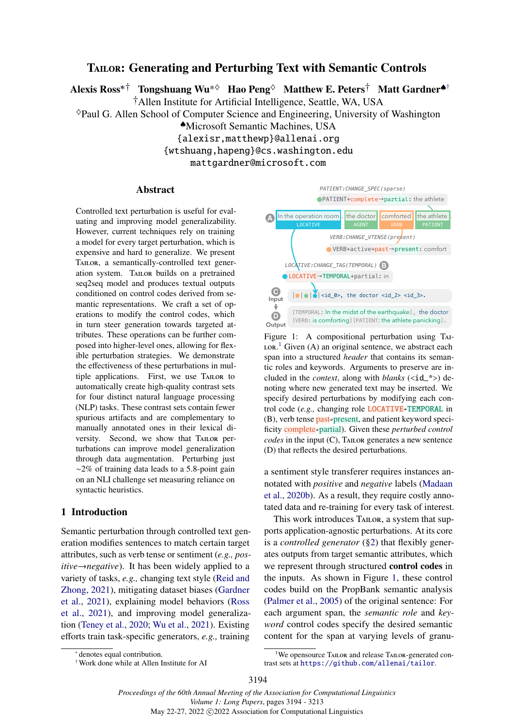# <span id="page-0-0"></span>TAILOR: Generating and Perturbing Text with Semantic Controls

Alexi[s](#page-0-0) Ross<sup>∗†</sup> Tongshuang Wu<sup>∗◇</sup> Hao Peng<sup>◇</sup> Matthew E. Peters<sup>†</sup> Matt Gardner<sup>◆†</sup>

†Allen Institute for Artificial Intelligence, Seattle, WA, USA

♦Paul G. Allen School of Computer Science and Engineering, University of Washington

♠Microsoft Semantic Machines, USA

{alexisr,matthewp}@allenai.org {wtshuang,hapeng}@cs.washington.edu

mattgardner@microsoft.com

#### Abstract

Controlled text perturbation is useful for evaluating and improving model generalizability. However, current techniques rely on training a model for every target perturbation, which is expensive and hard to generalize. We present TAILOR, a semantically-controlled text generation system. TAILOR builds on a pretrained seq2seq model and produces textual outputs conditioned on control codes derived from semantic representations. We craft a set of operations to modify the control codes, which in turn steer generation towards targeted attributes. These operations can be further composed into higher-level ones, allowing for flexible perturbation strategies. We demonstrate the effectiveness of these perturbations in multiple applications. First, we use Tailor to automatically create high-quality contrast sets for four distinct natural language processing (NLP) tasks. These contrast sets contain fewer spurious artifacts and are complementary to manually annotated ones in their lexical diversity. Second, we show that Tailor perturbations can improve model generalization through data augmentation. Perturbing just ∼2% of training data leads to a 5.8-point gain on an NLI challenge set measuring reliance on syntactic heuristics.

## 1 Introduction

Semantic perturbation through controlled text generation modifies sentences to match certain target attributes, such as verb tense or sentiment (*e.g., positive→negative*). It has been widely applied to a variety of tasks, *e.g.,* changing text style [\(Reid and](#page-11-0) [Zhong,](#page-11-0) [2021\)](#page-11-0), mitigating dataset biases [\(Gardner](#page-9-0) [et al.,](#page-9-0) [2021\)](#page-9-0), explaining model behaviors [\(Ross](#page-11-1) [et al.,](#page-11-1) [2021\)](#page-11-1), and improving model generalization [\(Teney et al.,](#page-11-2) [2020;](#page-11-2) [Wu et al.,](#page-12-0) [2021\)](#page-12-0). Existing efforts train task-specific generators, *e.g.,* training

<span id="page-0-2"></span>

Figure 1: A compositional perturbation using Tai- $LOR<sup>1</sup>$  $LOR<sup>1</sup>$  $LOR<sup>1</sup>$  Given (A) an original sentence, we abstract each span into a structured *header* that contains its semantic roles and keywords. Arguments to preserve are included in the *context*, along with *blanks* (<id\_\*>) denoting where new generated text may be inserted. We specify desired perturbations by modifying each control code (*e.g.*, changing role **LOCATIVE** > TEMPORAL in (B), verb tense past<sup>>present</sup>, and patient keyword specificity complete✮partial). Given these *perturbed control codes* in the input (C), Tailor generates a new sentence (D) that reflects the desired perturbations.

a sentiment style transferer requires instances annotated with *positive* and *negative* labels [\(Madaan](#page-10-0) [et al.,](#page-10-0) [2020b\)](#page-10-0). As a result, they require costly annotated data and re-training for every task of interest.

This work introduces TAILOR, a system that supports application-agnostic perturbations. At its core is a *controlled generator* ([§2\)](#page-1-0) that flexibly generates outputs from target semantic attributes, which we represent through structured control codes in the inputs. As shown in Figure [1,](#page-0-2) these control codes build on the PropBank semantic analysis [\(Palmer et al.,](#page-11-3) [2005\)](#page-11-3) of the original sentence: For each argument span, the *semantic role* and *keyword* control codes specify the desired semantic content for the span at varying levels of granu-

denotes equal contribution.

<sup>†</sup> Work done while at Allen Institute for AI

<span id="page-0-1"></span><sup>&</sup>lt;sup>1</sup>We opensource TAILOR and release TAILOR-generated contrast sets at <https://github.com/allenai/tailor>.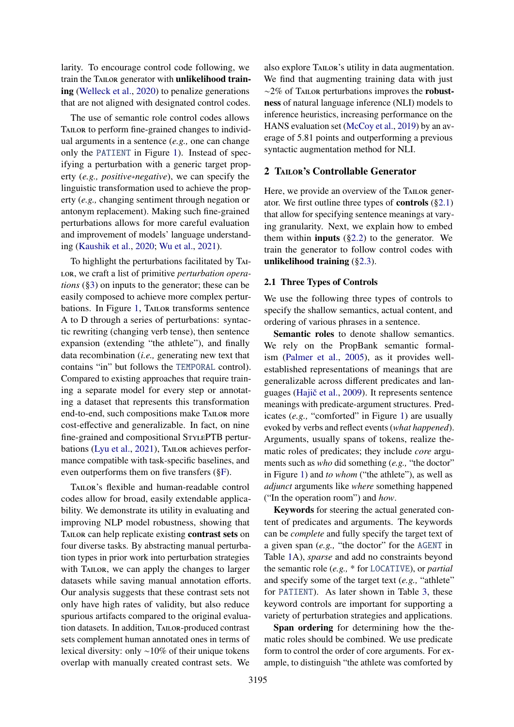larity. To encourage control code following, we train the TAILOR generator with unlikelihood training [\(Welleck et al.,](#page-12-1) [2020\)](#page-12-1) to penalize generations that are not aligned with designated control codes.

The use of semantic role control codes allows TAILOR to perform fine-grained changes to individual arguments in a sentence (*e.g.,* one can change only the PATIENT in Figure [1\)](#page-0-2). Instead of specifying a perturbation with a generic target property (*e.g., positive*→*negative*), we can specify the linguistic transformation used to achieve the property (*e.g.,* changing sentiment through negation or antonym replacement). Making such fine-grained perturbations allows for more careful evaluation and improvement of models' language understanding [\(Kaushik et al.,](#page-10-1) [2020;](#page-10-1) [Wu et al.,](#page-12-0) [2021\)](#page-12-0).

To highlight the perturbations facilitated by Tailor, we craft a list of primitive *perturbation operations* ([§3\)](#page-3-0) on inputs to the generator; these can be easily composed to achieve more complex pertur-bations. In Figure [1,](#page-0-2) TAILOR transforms sentence A to D through a series of perturbations: syntactic rewriting (changing verb tense), then sentence expansion (extending "the athlete"), and finally data recombination (*i.e.,* generating new text that contains "in" but follows the TEMPORAL control). Compared to existing approaches that require training a separate model for every step or annotating a dataset that represents this transformation end-to-end, such compositions make Tailor more cost-effective and generalizable. In fact, on nine fine-grained and compositional STYLEPTB pertur-bations [\(Lyu et al.,](#page-10-2) [2021\)](#page-10-2), TAILOR achieves performance compatible with task-specific baselines, and even outperforms them on five transfers ([§F\)](#page-17-0).

Tailor's flexible and human-readable control codes allow for broad, easily extendable applicability. We demonstrate its utility in evaluating and improving NLP model robustness, showing that TAILOR can help replicate existing contrast sets on four diverse tasks. By abstracting manual perturbation types in prior work into perturbation strategies with TAILOR, we can apply the changes to larger datasets while saving manual annotation efforts. Our analysis suggests that these contrast sets not only have high rates of validity, but also reduce spurious artifacts compared to the original evaluation datasets. In addition, TAILOR-produced contrast sets complement human annotated ones in terms of lexical diversity: only ∼10% of their unique tokens overlap with manually created contrast sets. We

also explore Tailor's utility in data augmentation. We find that augmenting training data with just  $~\sim$ 2% of Tailor perturbations improves the robustness of natural language inference (NLI) models to inference heuristics, increasing performance on the HANS evaluation set [\(McCoy et al.,](#page-10-3) [2019\)](#page-10-3) by an average of 5.81 points and outperforming a previous syntactic augmentation method for NLI.

## <span id="page-1-0"></span>2 TAILOR's Controllable Generator

Here, we provide an overview of the TAILOR generator. We first outline three types of **controls**  $(\S 2.1)$ that allow for specifying sentence meanings at varying granularity. Next, we explain how to embed them within **inputs**  $(\S2.2)$  to the generator. We train the generator to follow control codes with unlikelihood training ([§2.3\)](#page-3-1).

## <span id="page-1-1"></span>2.1 Three Types of Controls

We use the following three types of controls to specify the shallow semantics, actual content, and ordering of various phrases in a sentence.

Semantic roles to denote shallow semantics. We rely on the PropBank semantic formalism [\(Palmer et al.,](#page-11-3) [2005\)](#page-11-3), as it provides wellestablished representations of meanings that are generalizable across different predicates and lan-guages (Hajič et al., [2009\)](#page-9-1). It represents sentence meanings with predicate-argument structures. Predicates (*e.g.,* "comforted" in Figure [1\)](#page-0-2) are usually evoked by verbs and reflect events (*what happened*). Arguments, usually spans of tokens, realize thematic roles of predicates; they include *core* arguments such as *who* did something (*e.g.,* "the doctor" in Figure [1\)](#page-0-2) and *to whom* ("the athlete"), as well as *adjunct* arguments like *where* something happened ("In the operation room") and *how*.

Keywords for steering the actual generated content of predicates and arguments. The keywords can be *complete* and fully specify the target text of a given span (*e.g.,* "the doctor" for the AGENT in Table [1A](#page-2-1)), *sparse* and add no constraints beyond the semantic role (*e.g.,* \* for LOCATIVE), or *partial* and specify some of the target text (*e.g.,* "athlete" for PATIENT). As later shown in Table [3,](#page-4-0) these keyword controls are important for supporting a variety of perturbation strategies and applications.

Span ordering for determining how the thematic roles should be combined. We use predicate form to control the order of core arguments. For example, to distinguish "the athlete was comforted by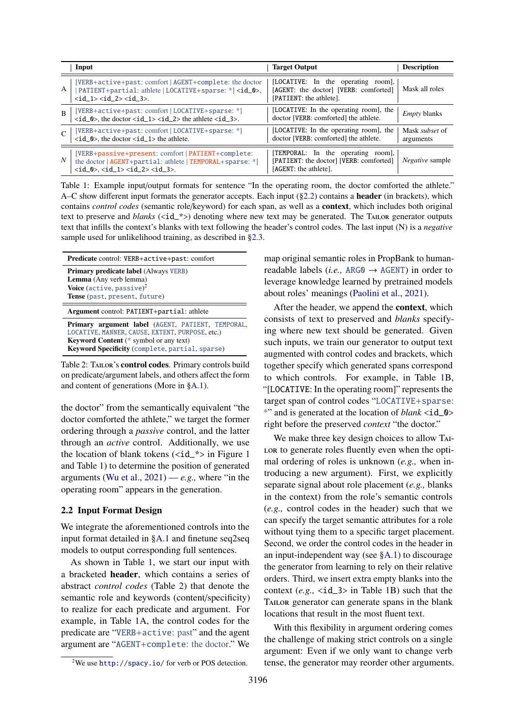<span id="page-2-1"></span>

|                | Input                                                                                                                                                                                                       | <b>Target Output</b>                                                                                   | <b>Description</b>                 |
|----------------|-------------------------------------------------------------------------------------------------------------------------------------------------------------------------------------------------------------|--------------------------------------------------------------------------------------------------------|------------------------------------|
| A              | [VERB+active+past: comfort   AGENT+complete: the doctor<br>PATIENT+partial: athlete   LOCATIVE+sparse: *] <id_0>,<br/><math>\langle id_1 \rangle \langle id_2 \rangle \langle id_3 \rangle</math>.</id_0>   | [LOCATIVE: In the operating room],<br>[AGENT: the doctor] [VERB: comforted]<br>[PATIENT: the athlete]. | Mask all roles                     |
| $\overline{B}$ | [VERB+active+past: comfort   LOCATIVE+sparse: *]<br>$\langle id_0 \rangle$ , the doctor $\langle id_1 \rangle \langle id_2 \rangle$ the athlete $\langle id_3 \rangle$ .                                    | [LOCATIVE: In the operating room], the<br>doctor [VERB: comforted] the athlete.                        | <i>Empty</i> blanks                |
| $\mathsf{C}$   | [VERB+active+past: comfort   LOCATIVE+sparse: *]<br><id_0>, the doctor <id_1> the athlete.</id_1></id_0>                                                                                                    | [LOCATIVE: In the operating room], the<br>doctor [VERB: comforted] the athlete.                        | Mask <i>subset</i> of<br>arguments |
| $N_{\rm c}$    | [VERB+passive+present: comfort   PATIENT+complete:<br>the doctor   AGENT+partial: athlete   TEMPORAL+sparse: *]<br>$\langle id_0 \rangle, \langle id_1 \rangle \langle id_2 \rangle, \langle id_3 \rangle.$ | [TEMPORAL: In the operating room],<br>[PATIENT: the doctor] [VERB: comforted]<br>[AGENT: the athlete]. | <i>Negative</i> sample             |

Table 1: Example input/output formats for sentence "In the operating room, the doctor comforted the athlete." A–C show different input formats the generator accepts. Each input  $(\S2.2)$  contains a **header** (in brackets), which contains *control codes* (semantic role/keyword) for each span, as well as a context, which includes both original text to preserve and *blanks* (<id\_\*>) denoting where new text may be generated. The TAILOR generator outputs text that infills the context's blanks with text following the header's control codes. The last input (N) is a *negative* sample used for unlikelihood training, as described in [§2.3.](#page-3-1)

<span id="page-2-3"></span>

| Predicate control: VERB+active+past: comfort                                                                                                                                                                    |  |  |  |  |
|-----------------------------------------------------------------------------------------------------------------------------------------------------------------------------------------------------------------|--|--|--|--|
| <b>Primary predicate label</b> (Always VERB)<br>Lemma (Any verb lemma)<br><b>Voice</b> (active, passive) <sup>2</sup><br>Tense (past, present, future)                                                          |  |  |  |  |
| Argument control: PATIENT+partial: athlete                                                                                                                                                                      |  |  |  |  |
| Primary argument label (AGENT, PATIENT, TEMPORAL,<br>LOCATIVE, MANNER, CAUSE, EXTENT, PURPOSE, etc.)<br><b>Keyword Content</b> (* symbol or any text)<br><b>Keyword Specificity</b> (complete, partial, sparse) |  |  |  |  |

Table 2: TAILOR's control codes. Primary controls build on predicate/argument labels, and others affect the form and content of generations (More in [§A.1\)](#page-13-0).

the doctor" from the semantically equivalent "the doctor comforted the athlete," we target the former ordering through a *passive* control, and the latter through an *active* control. Additionally, we use the location of blank tokens  $(\text{id} \xrightarrow{*}$  in Figure [1](#page-0-2) and Table [1\)](#page-2-1) to determine the position of generated arguments [\(Wu et al.,](#page-12-0)  $2021$ ) —  $e.g.,$  where "in the operating room" appears in the generation.

#### <span id="page-2-0"></span>2.2 Input Format Design

We integrate the aforementioned controls into the input format detailed in [§A.1](#page-13-0) and finetune seq2seq models to output corresponding full sentences.

As shown in Table [1,](#page-2-1) we start our input with a bracketed header, which contains a series of abstract *control codes* (Table [2\)](#page-2-3) that denote the semantic role and keywords (content/specificity) to realize for each predicate and argument. For example, in Table [1A](#page-2-1), the control codes for the predicate are "VERB+active: past" and the agent argument are "AGENT+complete: the doctor." We

map original semantic roles in PropBank to humanreadable labels (*i.e.*, ARG0  $\rightarrow$  AGENT) in order to leverage knowledge learned by pretrained models about roles' meanings [\(Paolini et al.,](#page-11-4) [2021\)](#page-11-4).

After the header, we append the context, which consists of text to preserved and *blanks* specifying where new text should be generated. Given such inputs, we train our generator to output text augmented with control codes and brackets, which together specify which generated spans correspond to which controls. For example, in Table [1B](#page-2-1), "[LOCATIVE: In the operating room]" represents the target span of control codes "LOCATIVE+sparse: \*" and is generated at the location of *blank* <id\_0> right before the preserved *context* "the doctor."

We make three key design choices to allow Tai-LOR to generate roles fluently even when the optimal ordering of roles is unknown (*e.g.,* when introducing a new argument). First, we explicitly separate signal about role placement (*e.g.,* blanks in the context) from the role's semantic controls (*e.g.,* control codes in the header) such that we can specify the target semantic attributes for a role without tying them to a specific target placement. Second, we order the control codes in the header in an input-independent way (see [§A.1\)](#page-13-0) to discourage the generator from learning to rely on their relative orders. Third, we insert extra empty blanks into the context  $(e.g., \text{  in Table 1B})$  $(e.g., \text{  in Table 1B})$  $(e.g., \text{  in Table 1B})$  such that the TAILOR generator can generate spans in the blank locations that result in the most fluent text.

With this flexibility in argument ordering comes the challenge of making strict controls on a single argument: Even if we only want to change verb tense, the generator may reorder other arguments.

<span id="page-2-2"></span><sup>2</sup>We use <http://spacy.io/> for verb or POS detection.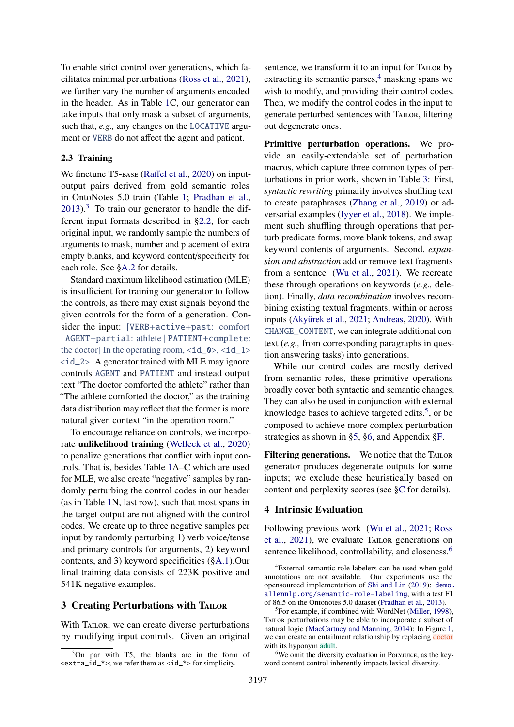To enable strict control over generations, which facilitates minimal perturbations [\(Ross et al.,](#page-11-1) [2021\)](#page-11-1), we further vary the number of arguments encoded in the header. As in Table [1C](#page-2-1), our generator can take inputs that only mask a subset of arguments, such that, *e.g.,* any changes on the LOCATIVE argument or VERB do not affect the agent and patient.

## <span id="page-3-1"></span>2.3 Training

We finetune T5-base (Raff[el et al.,](#page-11-5) [2020\)](#page-11-5) on inputoutput pairs derived from gold semantic roles in OntoNotes 5.0 train (Table [1;](#page-2-1) [Pradhan et al.,](#page-11-6)  $2013$  $2013$ .<sup>3</sup> To train our generator to handle the different input formats described in [§2.2,](#page-2-0) for each original input, we randomly sample the numbers of arguments to mask, number and placement of extra empty blanks, and keyword content/specificity for each role. See [§A.2](#page-13-1) for details.

Standard maximum likelihood estimation (MLE) is insufficient for training our generator to follow the controls, as there may exist signals beyond the given controls for the form of a generation. Consider the input: [VERB+active+past: comfort | AGENT+partial: athlete | PATIENT+complete: the doctor] In the operating room,  $\langle id_0 \rangle$ ,  $\langle id_1 \rangle$  $\langle \text{id}\_2 \rangle$ . A generator trained with MLE may ignore controls AGENT and PATIENT and instead output text "The doctor comforted the athlete" rather than "The athlete comforted the doctor," as the training data distribution may reflect that the former is more natural given context "in the operation room."

To encourage reliance on controls, we incorporate unlikelihood training [\(Welleck et al.,](#page-12-1) [2020\)](#page-12-1) to penalize generations that conflict with input controls. That is, besides Table [1A](#page-2-1)–C which are used for MLE, we also create "negative" samples by randomly perturbing the control codes in our header (as in Table [1N](#page-2-1), last row), such that most spans in the target output are not aligned with the control codes. We create up to three negative samples per input by randomly perturbing 1) verb voice/tense and primary controls for arguments, 2) keyword contents, and 3) keyword specificities ([§A.1\)](#page-13-0).Our final training data consists of 223K positive and 541K negative examples.

## <span id="page-3-0"></span>3 Creating Perturbations with TAILOR

With TAILOR, we can create diverse perturbations by modifying input controls. Given an original

sentence, we transform it to an input for TAILOR by extracting its semantic parses, $4$  masking spans we wish to modify, and providing their control codes. Then, we modify the control codes in the input to generate perturbed sentences with Tailor, filtering out degenerate ones.

Primitive perturbation operations. We provide an easily-extendable set of perturbation macros, which capture three common types of perturbations in prior work, shown in Table [3:](#page-4-0) First, *syntactic rewriting* primarily involves shuffling text to create paraphrases [\(Zhang et al.,](#page-12-2) [2019\)](#page-12-2) or adversarial examples [\(Iyyer et al.,](#page-10-4) [2018\)](#page-10-4). We implement such shuffling through operations that perturb predicate forms, move blank tokens, and swap keyword contents of arguments. Second, *expansion and abstraction* add or remove text fragments from a sentence [\(Wu et al.,](#page-12-0) [2021\)](#page-12-0). We recreate these through operations on keywords (*e.g.,* deletion). Finally, *data recombination* involves recombining existing textual fragments, within or across inputs [\(Akyürek et al.,](#page-9-2) [2021;](#page-9-2) [Andreas,](#page-9-3) [2020\)](#page-9-3). With CHANGE\_CONTENT, we can integrate additional context (*e.g.,* from corresponding paragraphs in question answering tasks) into generations.

While our control codes are mostly derived from semantic roles, these primitive operations broadly cover both syntactic and semantic changes. They can also be used in conjunction with external knowledge bases to achieve targeted edits.<sup>[5](#page-3-4)</sup>, or be composed to achieve more complex perturbation strategies as shown in [§5,](#page-5-0) [§6,](#page-7-0) and Appendix [§F.](#page-17-0)

Filtering generations. We notice that the TAILOR generator produces degenerate outputs for some inputs; we exclude these heuristically based on content and perplexity scores (see [§C](#page-14-0) for details).

## <span id="page-3-6"></span>4 Intrinsic Evaluation

Following previous work [\(Wu et al.,](#page-12-0) [2021;](#page-12-0) [Ross](#page-11-1) [et al.,](#page-11-1) [2021\)](#page-11-1), we evaluate Tailor generations on sentence likelihood, controllability, and closeness.<sup>[6](#page-3-5)</sup>

<span id="page-3-2"></span><sup>3</sup>On par with T5, the blanks are in the form of  $\langle$ extra\_id\_\*>; we refer them as  $\langle$ id\_\*> for simplicity.

<span id="page-3-3"></span><sup>4</sup>External semantic role labelers can be used when gold annotations are not available. Our experiments use the opensourced implementation of [Shi and Lin](#page-11-7) [\(2019\)](#page-11-7): [demo.](demo.allennlp.org/semantic-role-labeling) [allennlp.org/semantic-role-labeling](demo.allennlp.org/semantic-role-labeling), with a test F1 of 86.5 on the Ontonotes 5.0 dataset [\(Pradhan et al.,](#page-11-6) [2013\)](#page-11-6).

<span id="page-3-4"></span><sup>5</sup>For example, if combined with WordNet [\(Miller,](#page-10-5) [1998\)](#page-10-5), Tailor perturbations may be able to incorporate a subset of natural logic [\(MacCartney and Manning,](#page-10-6) [2014\)](#page-10-6): In Figure [1,](#page-0-2) we can create an entailment relationship by replacing doctor with its hyponym adult.

<span id="page-3-5"></span> $6$ We omit the diversity evaluation in Polyjuice, as the keyword content control inherently impacts lexical diversity.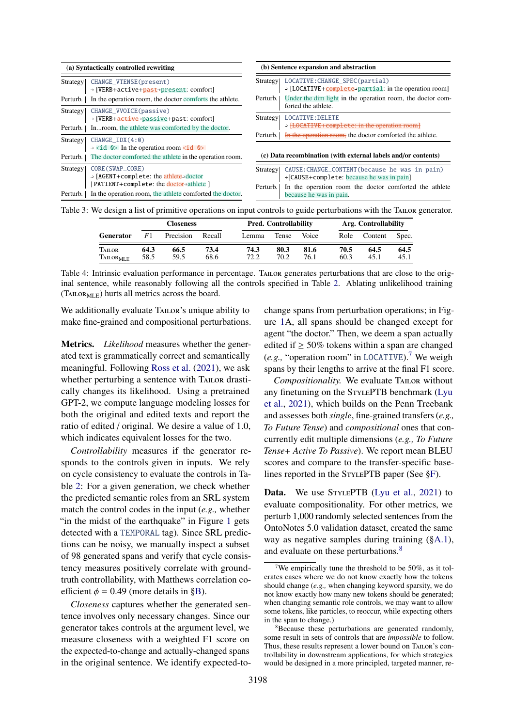<span id="page-4-0"></span>

| (a) Syntactically controlled rewriting                                                                                                             | (b) Sentence expansion and abstraction                                                                                                                                                   |  |  |  |
|----------------------------------------------------------------------------------------------------------------------------------------------------|------------------------------------------------------------------------------------------------------------------------------------------------------------------------------------------|--|--|--|
| CHANGE_VTENSE(present)<br>Strategy<br>→ [VERB+active+past→present: comfort]<br>In the operation room, the doctor comforts the athlete.<br>Perturb. | LOCATIVE: CHANGE_SPEC(partial)<br>Strategy<br>$\rightarrow$ [LOCATIVE+complete+partial: in the operation room]<br>Under the dim light in the operation room, the doctor com-<br>Perturb. |  |  |  |
| CHANGE_VVOICE(passive)<br>Strategy                                                                                                                 | forted the athlete.                                                                                                                                                                      |  |  |  |
| $\rightarrow$ [VERB+active+passive+past: comfort]<br>Inroom, the athlete was comforted by the doctor.<br>Perturb.                                  | LOCATIVE: DELETE<br>Strategy<br>→ [LOCATIVE+complete: in the operation room]                                                                                                             |  |  |  |
| CHANGEIDX(4:0)<br>Strategy                                                                                                                         | In the operation room, the doctor comforted the athlete.<br>Perturb.                                                                                                                     |  |  |  |
| $\rightarrow$ <id_0> In the operation room <id_0><br/>The doctor comforted the athlete in the operation room.<br/>Perturb.</id_0></id_0>           | (c) Data recombination (with external labels and/or contents)                                                                                                                            |  |  |  |
| CORE (SWAP_CORE)<br>Strategy!<br>$\rightarrow$ [AGENT+complete: the athlete+doctor]<br>PATIENT+complete: the doctor+athlete ]                      | CAUSE: CHANGE_CONTENT (because he was in pain)<br>Strategy<br>→[CAUSE+complete: because he was in pain]<br>In the operation room the doctor comforted the athlete<br>Perturb.            |  |  |  |
| In the operation room, the athlete comforted the doctor.<br>Perturb.                                                                               | because he was in pain.                                                                                                                                                                  |  |  |  |

<span id="page-4-3"></span>Table 3: We design a list of primitive operations on input controls to guide perturbations with the Tailor generator.

|                                 |              | <b>Closeness</b> |              | <b>Pred. Controllability</b><br>Arg. Controllability |              |              |              |              |              |
|---------------------------------|--------------|------------------|--------------|------------------------------------------------------|--------------|--------------|--------------|--------------|--------------|
| <b>Generator</b>                | F1           | Precision        | Recall       | Lemma                                                | Tense        | Voice        | Role         | Content      | Spec.        |
| TAILOR<br>TAILOR <sub>MLE</sub> | 64.3<br>58.5 | 66.5<br>59.5     | 73.4<br>68.6 | 74.3<br>72.2                                         | 80.3<br>70.2 | 81.6<br>76.1 | 70.5<br>60.3 | 64.5<br>45.1 | 64.5<br>45.1 |

Table 4: Intrinsic evaluation performance in percentage. Tailor generates perturbations that are close to the original sentence, while reasonably following all the controls specified in Table [2.](#page-2-3) Ablating unlikelihood training  $(TALOR<sub>MLE</sub>)$  hurts all metrics across the board.

We additionally evaluate TAILOR's unique ability to make fine-grained and compositional perturbations.

Metrics. *Likelihood* measures whether the generated text is grammatically correct and semantically meaningful. Following [Ross et al.](#page-11-1) [\(2021\)](#page-11-1), we ask whether perturbing a sentence with TAILOR drastically changes its likelihood. Using a pretrained GPT-2, we compute language modeling losses for both the original and edited texts and report the ratio of edited / original. We desire a value of 1.0, which indicates equivalent losses for the two.

*Controllability* measures if the generator responds to the controls given in inputs. We rely on cycle consistency to evaluate the controls in Table [2:](#page-2-3) For a given generation, we check whether the predicted semantic roles from an SRL system match the control codes in the input (*e.g.,* whether "in the midst of the earthquake" in Figure [1](#page-0-2) gets detected with a TEMPORAL tag). Since SRL predictions can be noisy, we manually inspect a subset of 98 generated spans and verify that cycle consistency measures positively correlate with groundtruth controllability, with Matthews correlation coefficient  $\phi = 0.49$  (more details in [§B\)](#page-14-1).

*Closeness* captures whether the generated sentence involves only necessary changes. Since our generator takes controls at the argument level, we measure closeness with a weighted F1 score on the expected-to-change and actually-changed spans in the original sentence. We identify expected-tochange spans from perturbation operations; in Figure [1A](#page-0-2), all spans should be changed except for agent "the doctor." Then, we deem a span actually edited if  $\geq 50\%$  tokens within a span are changed (*e.g.,* "operation room" in LOCATIVE).[7](#page-4-1) We weigh spans by their lengths to arrive at the final F1 score.

*Compositionality.* We evaluate Tailor without any finetuning on the StylePTB benchmark [\(Lyu](#page-10-2) [et al.,](#page-10-2) [2021\)](#page-10-2), which builds on the Penn Treebank and assesses both *single*, fine-grained transfers (*e.g., To Future Tense*) and *compositional* ones that concurrently edit multiple dimensions (*e.g., To Future Tense*+ *Active To Passive*). We report mean BLEU scores and compare to the transfer-specific baselines reported in the STYLEPTB paper (See  $\S F$ ).

Data. We use STYLEPTB [\(Lyu et al.,](#page-10-2) [2021\)](#page-10-2) to evaluate compositionality. For other metrics, we perturb 1,000 randomly selected sentences from the OntoNotes 5.0 validation dataset, created the same way as negative samples during training ([§A.1\)](#page-13-0), and evaluate on these perturbations.<sup>[8](#page-4-2)</sup>

<span id="page-4-1"></span><sup>&</sup>lt;sup>7</sup>We empirically tune the threshold to be 50%, as it tolerates cases where we do not know exactly how the tokens should change (*e.g.,* when changing keyword sparsity, we do not know exactly how many new tokens should be generated; when changing semantic role controls, we may want to allow some tokens, like particles, to reoccur, while expecting others in the span to change.)

<span id="page-4-2"></span><sup>8</sup>Because these perturbations are generated randomly, some result in sets of controls that are *impossible* to follow. Thus, these results represent a lower bound on TAILOR's controllability in downstream applications, for which strategies would be designed in a more principled, targeted manner, re-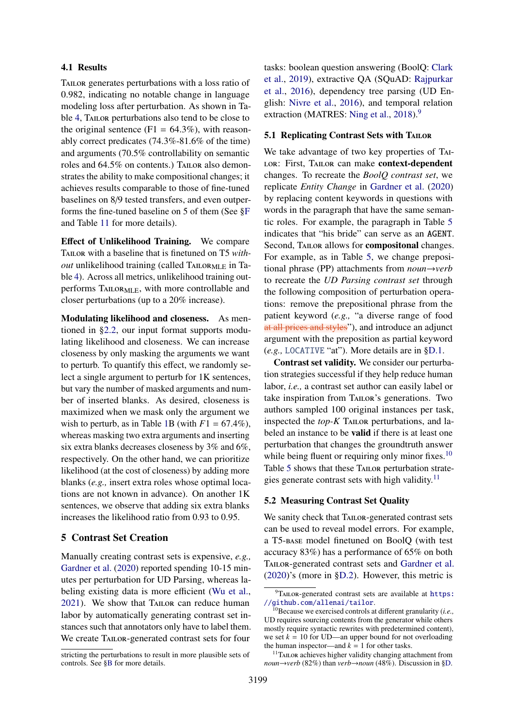#### 4.1 Results

TAILOR generates perturbations with a loss ratio of 0.982, indicating no notable change in language modeling loss after perturbation. As shown in Table [4,](#page-4-3) Tailor perturbations also tend to be close to the original sentence  $(F1 = 64.3\%)$ , with reasonably correct predicates (74.3%-81.6% of the time) and arguments (70.5% controllability on semantic roles and 64.5% on contents.) TAILOR also demonstrates the ability to make compositional changes; it achieves results comparable to those of fine-tuned baselines on 8/9 tested transfers, and even outperforms the fine-tuned baseline on 5 of them (See [§F](#page-17-0) and Table [11](#page-18-0) for more details).

Effect of Unlikelihood Training. We compare TAILOR with a baseline that is finetuned on T5 *without* unlikelihood training (called  $T_{\text{ALORMLE}}$  in Table [4\)](#page-4-3). Across all metrics, unlikelihood training outperforms TAILOR<sub>MLE</sub>, with more controllable and closer perturbations (up to a 20% increase).

Modulating likelihood and closeness. As mentioned in [§2.2,](#page-2-0) our input format supports modulating likelihood and closeness. We can increase closeness by only masking the arguments we want to perturb. To quantify this effect, we randomly select a single argument to perturb for 1K sentences, but vary the number of masked arguments and number of inserted blanks. As desired, closeness is maximized when we mask only the argument we wish to perturb, as in Table [1B](#page-2-1) (with  $F1 = 67.4\%$ ), whereas masking two extra arguments and inserting six extra blanks decreases closeness by 3% and 6%, respectively. On the other hand, we can prioritize likelihood (at the cost of closeness) by adding more blanks (*e.g.,* insert extra roles whose optimal locations are not known in advance). On another 1K sentences, we observe that adding six extra blanks increases the likelihood ratio from 0.93 to 0.95.

## <span id="page-5-0"></span>5 Contrast Set Creation

Manually creating contrast sets is expensive, *e.g.,* [Gardner et al.](#page-9-4) [\(2020\)](#page-9-4) reported spending 10-15 minutes per perturbation for UD Parsing, whereas labeling existing data is more efficient [\(Wu et al.,](#page-12-0) [2021\)](#page-12-0). We show that TAILOR can reduce human labor by automatically generating contrast set instances such that annotators only have to label them. We create Tailor-generated contrast sets for four

stricting the perturbations to result in more plausible sets of controls. See [§B](#page-14-1) for more details.

tasks: boolean question answering (BoolQ: [Clark](#page-9-5) [et al.,](#page-9-5) [2019\)](#page-9-5), extractive QA (SQuAD: [Rajpurkar](#page-11-8) [et al.,](#page-11-8) [2016\)](#page-11-8), dependency tree parsing (UD English: [Nivre et al.,](#page-11-9) [2016\)](#page-11-9), and temporal relation extraction (MATRES: [Ning et al.,](#page-10-7) [2018\)](#page-10-7).<sup>[9](#page-5-1)</sup>

#### <span id="page-5-4"></span>5.1 Replicating Contrast Sets with TAILOR

We take advantage of two key properties of Tai-LOR: First, TAILOR can make context-dependent changes. To recreate the *BoolQ contrast set*, we replicate *Entity Change* in [Gardner et al.](#page-9-4) [\(2020\)](#page-9-4) by replacing content keywords in questions with words in the paragraph that have the same semantic roles. For example, the paragraph in Table [5](#page-6-0) indicates that "his bride" can serve as an AGENT. Second, TAILOR allows for **compositonal** changes. For example, as in Table [5,](#page-6-0) we change prepositional phrase (PP) attachments from *noun*→*verb* to recreate the *UD Parsing contrast set* through the following composition of perturbation operations: remove the prepositional phrase from the patient keyword (*e.g.,* "a diverse range of food at all prices and styles"), and introduce an adjunct argument with the preposition as partial keyword (*e.g.,* LOCATIVE "at"). More details are in [§D.1.](#page-14-2)

Contrast set validity. We consider our perturbation strategies successful if they help reduce human labor, *i.e.,* a contrast set author can easily label or take inspiration from Tailor's generations. Two authors sampled 100 original instances per task, inspected the *top-K* TAILOR perturbations, and labeled an instance to be valid if there is at least one perturbation that changes the groundtruth answer while being fluent or requiring only minor fixes.<sup>[10](#page-5-2)</sup> Table [5](#page-6-0) shows that these TAILOR perturbation strate-gies generate contrast sets with high validity.<sup>[11](#page-5-3)</sup>

#### 5.2 Measuring Contrast Set Quality

We sanity check that TAILOR-generated contrast sets can be used to reveal model errors. For example, a T5-base model finetuned on BoolQ (with test accuracy 83%) has a performance of 65% on both Tailor-generated contrast sets and [Gardner et al.](#page-9-4) [\(2020\)](#page-9-4)'s (more in [§D.2\)](#page-16-0). However, this metric is

<span id="page-5-1"></span><sup>&</sup>lt;sup>9</sup>TAILOR-generated contrast sets are available at [https:](https://github.com/allenai/tailor) [//github.com/allenai/tailor](https://github.com/allenai/tailor).

<span id="page-5-2"></span><sup>10</sup>Because we exercised controls at different granularity (*i.e.,* UD requires sourcing contents from the generator while others mostly require syntactic rewrites with predetermined content), we set  $k = 10$  for UD—an upper bound for not overloading the human inspector—and  $k = 1$  for other tasks.

<span id="page-5-3"></span><sup>&</sup>lt;sup>11</sup>TAILOR achieves higher validity changing attachment from *noun*→*verb* (82%) than *verb*→*noun* (48%). Discussion in [§D.](#page-14-3)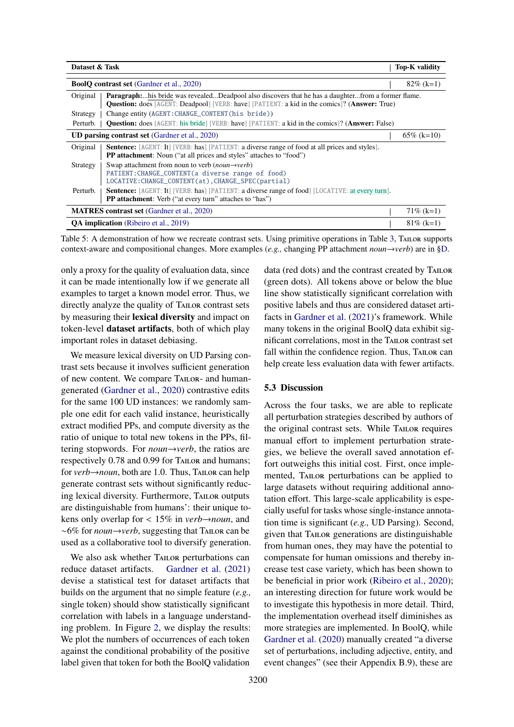<span id="page-6-0"></span>

| Dataset & Task                                                                                                                                                                |                                                                                                                                                                                                                   |  | Top-K validity |  |  |  |
|-------------------------------------------------------------------------------------------------------------------------------------------------------------------------------|-------------------------------------------------------------------------------------------------------------------------------------------------------------------------------------------------------------------|--|----------------|--|--|--|
|                                                                                                                                                                               | <b>BoolQ contrast set (Gardner et al., 2020)</b>                                                                                                                                                                  |  |                |  |  |  |
| Original                                                                                                                                                                      | <b>Paragraph:</b> his bride was revealedDeadpool also discovers that he has a daughterfrom a former flame.<br><b>Question:</b> does [AGENT: Deadpool] [VERB: have] [PATIENT: a kid in the comics]? (Answer: True) |  |                |  |  |  |
| Strategy                                                                                                                                                                      | Change entity (AGENT: CHANGE_CONTENT (his bride))                                                                                                                                                                 |  |                |  |  |  |
| Perturb.                                                                                                                                                                      | <b>Question:</b> does [AGENT: his bride] [VERB: have] [PATIENT: a kid in the comics]? ( <b>Answer:</b> False)                                                                                                     |  |                |  |  |  |
| <b>UD parsing contrast set (Gardner et al., 2020)</b>                                                                                                                         |                                                                                                                                                                                                                   |  |                |  |  |  |
| Original                                                                                                                                                                      | <b>Sentence:</b> [AGENT: It] [VERB: has] [PATIENT: a diverse range of food at all prices and styles].<br><b>PP attachment:</b> Noun ("at all prices and styles" attaches to "food")                               |  |                |  |  |  |
| Swap attachment from noun to verb ( <i>noun—verb</i> )<br>Strategy<br>PATIENT: CHANGE_CONTENT (a diverse range of food)<br>LOCATIVE: CHANGE_CONTENT(at), CHANGE_SPEC(partial) |                                                                                                                                                                                                                   |  |                |  |  |  |
| Perturb.                                                                                                                                                                      | <b>Sentence:</b> [AGENT: It] [VERB: has] [PATIENT: a diverse range of food] [LOCATIVE: at every turn].<br><b>PP attachment:</b> Verb ("at every turn" attaches to "has")                                          |  |                |  |  |  |
|                                                                                                                                                                               | <b>MATRES</b> contrast set (Gardner et al., 2020)                                                                                                                                                                 |  |                |  |  |  |
|                                                                                                                                                                               | <b>QA implication</b> (Ribeiro et al., 2019)                                                                                                                                                                      |  |                |  |  |  |

Table 5: A demonstration of how we recreate contrast sets. Using primitive operations in Table [3,](#page-4-0) TAILOR supports context-aware and compositional changes. More examples (*e.g.,* changing PP attachment *noun*→*verb*) are in [§D.](#page-14-3)

only a proxy for the quality of evaluation data, since it can be made intentionally low if we generate all examples to target a known model error. Thus, we directly analyze the quality of Tailor contrast sets by measuring their lexical diversity and impact on token-level dataset artifacts, both of which play important roles in dataset debiasing.

We measure lexical diversity on UD Parsing contrast sets because it involves sufficient generation of new content. We compare Tailor- and humangenerated [\(Gardner et al.,](#page-9-4) [2020\)](#page-9-4) contrastive edits for the same 100 UD instances: we randomly sample one edit for each valid instance, heuristically extract modified PPs, and compute diversity as the ratio of unique to total new tokens in the PPs, filtering stopwords. For *noun*→*verb*, the ratios are respectively 0.78 and 0.99 for TAILOR and humans; for *verb*→*noun*, both are 1.0. Thus, Tailor can help generate contrast sets without significantly reducing lexical diversity. Furthermore, TAILOR outputs are distinguishable from humans': their unique tokens only overlap for < 15% in *verb*→*noun*, and ∼6% for *noun*→*verb*, suggesting that Tailor can be used as a collaborative tool to diversify generation.

We also ask whether TAILOR perturbations can reduce dataset artifacts. [Gardner et al.](#page-9-0) [\(2021\)](#page-9-0) devise a statistical test for dataset artifacts that builds on the argument that no simple feature (*e.g.,* single token) should show statistically significant correlation with labels in a language understanding problem. In Figure [2,](#page-7-1) we display the results: We plot the numbers of occurrences of each token against the conditional probability of the positive label given that token for both the BoolQ validation

data (red dots) and the contrast created by TAILOR (green dots). All tokens above or below the blue line show statistically significant correlation with positive labels and thus are considered dataset artifacts in [Gardner et al.](#page-9-0) [\(2021\)](#page-9-0)'s framework. While many tokens in the original BoolQ data exhibit significant correlations, most in the Tailor contrast set fall within the confidence region. Thus, TAILOR can help create less evaluation data with fewer artifacts.

## 5.3 Discussion

Across the four tasks, we are able to replicate all perturbation strategies described by authors of the original contrast sets. While TAILOR requires manual effort to implement perturbation strategies, we believe the overall saved annotation effort outweighs this initial cost. First, once implemented, Tailor perturbations can be applied to large datasets without requiring additional annotation effort. This large-scale applicability is especially useful for tasks whose single-instance annotation time is significant (*e.g.,* UD Parsing). Second, given that TAILOR generations are distinguishable from human ones, they may have the potential to compensate for human omissions and thereby increase test case variety, which has been shown to be beneficial in prior work [\(Ribeiro et al.,](#page-11-11) [2020\)](#page-11-11); an interesting direction for future work would be to investigate this hypothesis in more detail. Third, the implementation overhead itself diminishes as more strategies are implemented. In BoolQ, while [Gardner et al.](#page-9-4) [\(2020\)](#page-9-4) manually created "a diverse set of perturbations, including adjective, entity, and event changes" (see their Appendix B.9), these are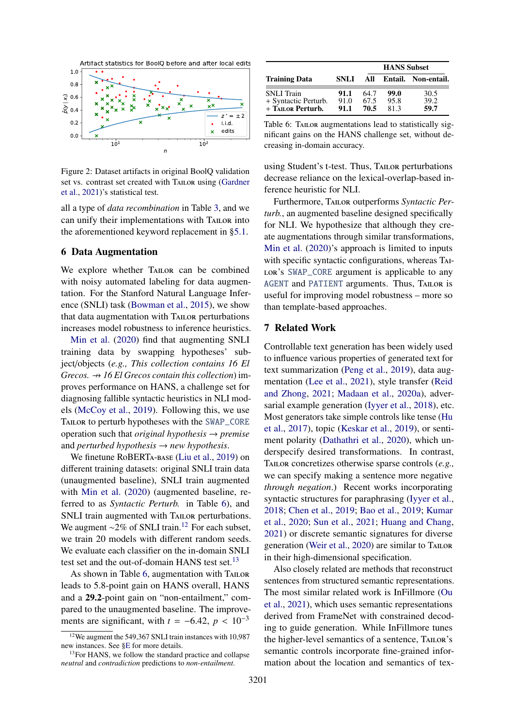<span id="page-7-1"></span>

Figure 2: Dataset artifacts in original BoolQ validation set vs. contrast set created with TAILOR using [\(Gardner](#page-9-0) [et al.,](#page-9-0) [2021\)](#page-9-0)'s statistical test.

all a type of *data recombination* in Table [3,](#page-4-0) and we can unify their implementations with Tailor into the aforementioned keyword replacement in [§5.1.](#page-5-4)

#### <span id="page-7-0"></span>6 Data Augmentation

We explore whether TAILOR can be combined with noisy automated labeling for data augmentation. For the Stanford Natural Language Inference (SNLI) task [\(Bowman et al.,](#page-9-6) [2015\)](#page-9-6), we show that data augmentation with Tailor perturbations increases model robustness to inference heuristics.

[Min et al.](#page-10-8) [\(2020\)](#page-10-8) find that augmenting SNLI training data by swapping hypotheses' subject/objects (*e.g., This collection contains 16 El Grecos.*  $\rightarrow$  16 *El Grecos contain this collection*) improves performance on HANS, a challenge set for diagnosing fallible syntactic heuristics in NLI models [\(McCoy et al.,](#page-10-3) [2019\)](#page-10-3). Following this, we use Tailor to perturb hypotheses with the SWAP\_CORE operation such that *original hypothesis* → *premise* and *perturbed hypothesis*  $\rightarrow$  *new hypothesis.* 

We finetune RoBERTa-base [\(Liu et al.,](#page-10-9) [2019\)](#page-10-9) on different training datasets: original SNLI train data (unaugmented baseline), SNLI train augmented with [Min et al.](#page-10-8) [\(2020\)](#page-10-8) (augmented baseline, referred to as *Syntactic Perturb.* in Table [6\)](#page-7-2), and SNLI train augmented with TAILOR perturbations. We augment  $\sim$ 2% of SNLI train.<sup>[12](#page-7-3)</sup> For each subset, we train 20 models with different random seeds. We evaluate each classifier on the in-domain SNLI test set and the out-of-domain HANS test set. $^{13}$  $^{13}$  $^{13}$ 

As shown in Table [6,](#page-7-2) augmentation with TAILOR leads to 5.8-point gain on HANS overall, HANS and a 29.2-point gain on "non-entailment," compared to the unaugmented baseline. The improvements are significant, with  $t = -6.42$ ,  $p < 10^{-3}$ 

<span id="page-7-2"></span>

|              | <b>HANS</b> Subset |              |                      |  |  |
|--------------|--------------------|--------------|----------------------|--|--|
| <b>SNLI</b>  | All                |              | Entail. Non-entail.  |  |  |
| 91.1<br>91.0 | 64.7<br>67.5       | 99.0<br>95.8 | 30.5<br>39.2<br>59.7 |  |  |
|              | 91.1               | 70.5         | 81.3                 |  |  |

Table 6: TAILOR augmentations lead to statistically significant gains on the HANS challenge set, without decreasing in-domain accuracy.

using Student's t-test. Thus, TAILOR perturbations decrease reliance on the lexical-overlap-based inference heuristic for NLI.

Furthermore, Tailor outperforms *Syntactic Perturb.*, an augmented baseline designed specifically for NLI. We hypothesize that although they create augmentations through similar transformations, [Min et al.](#page-10-8) [\(2020\)](#page-10-8)'s approach is limited to inputs with specific syntactic configurations, whereas Tai-LOR'S SWAP\_CORE argument is applicable to any AGENT and PATIENT arguments. Thus, Tailor is useful for improving model robustness – more so than template-based approaches.

## <span id="page-7-5"></span>7 Related Work

Controllable text generation has been widely used to influence various properties of generated text for text summarization [\(Peng et al.,](#page-11-12) [2019\)](#page-11-12), data augmentation [\(Lee et al.,](#page-10-10) [2021\)](#page-10-10), style transfer [\(Reid](#page-11-0) [and Zhong,](#page-11-0) [2021;](#page-11-0) [Madaan et al.,](#page-10-11) [2020a\)](#page-10-11), adversarial example generation [\(Iyyer et al.,](#page-10-4) [2018\)](#page-10-4), etc. Most generators take simple controls like tense [\(Hu](#page-10-12) [et al.,](#page-10-12) [2017\)](#page-10-12), topic [\(Keskar et al.,](#page-10-13) [2019\)](#page-10-13), or sentiment polarity [\(Dathathri et al.,](#page-9-7) [2020\)](#page-9-7), which underspecify desired transformations. In contrast, Tailor concretizes otherwise sparse controls (*e.g.,* we can specify making a sentence more negative *through negation*.) Recent works incorporating syntactic structures for paraphrasing [\(Iyyer et al.,](#page-10-4) [2018;](#page-10-4) [Chen et al.,](#page-9-8) [2019;](#page-9-8) [Bao et al.,](#page-9-9) [2019;](#page-9-9) [Kumar](#page-10-14) [et al.,](#page-10-14) [2020;](#page-10-14) [Sun et al.,](#page-11-13) [2021;](#page-11-13) [Huang and Chang,](#page-10-15) [2021\)](#page-10-15) or discrete semantic signatures for diverse generation [\(Weir et al.,](#page-12-3) [2020\)](#page-12-3) are similar to TAILOR in their high-dimensional specification.

Also closely related are methods that reconstruct sentences from structured semantic representations. The most similar related work is InFillmore [\(Ou](#page-11-14) [et al.,](#page-11-14) [2021\)](#page-11-14), which uses semantic representations derived from FrameNet with constrained decoding to guide generation. While InFillmore tunes the higher-level semantics of a sentence, Tailor's semantic controls incorporate fine-grained information about the location and semantics of tex-

<span id="page-7-3"></span><sup>12</sup>We augment the 549,367 SNLI train instances with 10,987 new instances. See [§E](#page-17-1) for more details.

<span id="page-7-4"></span><sup>&</sup>lt;sup>13</sup>For HANS, we follow the standard practice and collapse *neutral* and *contradiction* predictions to *non-entailment*.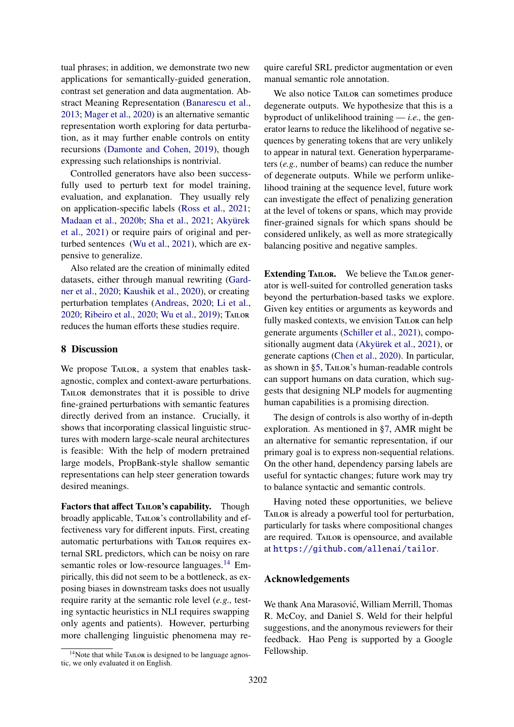tual phrases; in addition, we demonstrate two new applications for semantically-guided generation, contrast set generation and data augmentation. Abstract Meaning Representation [\(Banarescu et al.,](#page-9-10) [2013;](#page-9-10) [Mager et al.,](#page-10-16) [2020\)](#page-10-16) is an alternative semantic representation worth exploring for data perturbation, as it may further enable controls on entity recursions [\(Damonte and Cohen,](#page-9-11) [2019\)](#page-9-11), though expressing such relationships is nontrivial.

Controlled generators have also been successfully used to perturb text for model training, evaluation, and explanation. They usually rely on application-specific labels [\(Ross et al.,](#page-11-1) [2021;](#page-11-1) [Madaan et al.,](#page-10-0) [2020b;](#page-10-0) [Sha et al.,](#page-11-15) [2021;](#page-11-15) [Akyürek](#page-9-2) [et al.,](#page-9-2) [2021\)](#page-9-2) or require pairs of original and perturbed sentences [\(Wu et al.,](#page-12-0) [2021\)](#page-12-0), which are expensive to generalize.

Also related are the creation of minimally edited datasets, either through manual rewriting [\(Gard](#page-9-4)[ner et al.,](#page-9-4) [2020;](#page-9-4) [Kaushik et al.,](#page-10-1) [2020\)](#page-10-1), or creating perturbation templates [\(Andreas,](#page-9-3) [2020;](#page-9-3) [Li et al.,](#page-10-17) [2020;](#page-11-11) [Ribeiro et al.,](#page-11-11) 2020; [Wu et al.,](#page-12-4) [2019\)](#page-12-4); TAILOR reduces the human efforts these studies require.

#### 8 Discussion

We propose TAILOR, a system that enables taskagnostic, complex and context-aware perturbations. TAILOR demonstrates that it is possible to drive fine-grained perturbations with semantic features directly derived from an instance. Crucially, it shows that incorporating classical linguistic structures with modern large-scale neural architectures is feasible: With the help of modern pretrained large models, PropBank-style shallow semantic representations can help steer generation towards desired meanings.

Factors that affect TAILOR's capability. Though broadly applicable, Tailor's controllability and effectiveness vary for different inputs. First, creating automatic perturbations with Tailor requires external SRL predictors, which can be noisy on rare semantic roles or low-resource languages.<sup>[14](#page-8-0)</sup> Empirically, this did not seem to be a bottleneck, as exposing biases in downstream tasks does not usually require rarity at the semantic role level (*e.g.,* testing syntactic heuristics in NLI requires swapping only agents and patients). However, perturbing more challenging linguistic phenomena may require careful SRL predictor augmentation or even manual semantic role annotation.

We also notice TAILOR can sometimes produce degenerate outputs. We hypothesize that this is a byproduct of unlikelihood training — *i.e.,* the generator learns to reduce the likelihood of negative sequences by generating tokens that are very unlikely to appear in natural text. Generation hyperparameters (*e.g.,* number of beams) can reduce the number of degenerate outputs. While we perform unlikelihood training at the sequence level, future work can investigate the effect of penalizing generation at the level of tokens or spans, which may provide finer-grained signals for which spans should be considered unlikely, as well as more strategically balancing positive and negative samples.

Extending TAILOR. We believe the TAILOR generator is well-suited for controlled generation tasks beyond the perturbation-based tasks we explore. Given key entities or arguments as keywords and fully masked contexts, we envision TAILOR can help generate arguments [\(Schiller et al.,](#page-11-16) [2021\)](#page-11-16), compositionally augment data [\(Akyürek et al.,](#page-9-2) [2021\)](#page-9-2), or generate captions [\(Chen et al.,](#page-9-12) [2020\)](#page-9-12). In particular, as shown in [§5,](#page-5-0) TAILOR's human-readable controls can support humans on data curation, which suggests that designing NLP models for augmenting human capabilities is a promising direction.

The design of controls is also worthy of in-depth exploration. As mentioned in [§7,](#page-7-5) AMR might be an alternative for semantic representation, if our primary goal is to express non-sequential relations. On the other hand, dependency parsing labels are useful for syntactic changes; future work may try to balance syntactic and semantic controls.

Having noted these opportunities, we believe TAILOR is already a powerful tool for perturbation, particularly for tasks where compositional changes are required. TAILOR is opensource, and available at <https://github.com/allenai/tailor>.

#### Acknowledgements

We thank Ana Marasović, William Merrill, Thomas R. McCoy, and Daniel S. Weld for their helpful suggestions, and the anonymous reviewers for their feedback. Hao Peng is supported by a Google Fellowship.

<span id="page-8-0"></span> $14$ Note that while TAILOR is designed to be language agnostic, we only evaluated it on English.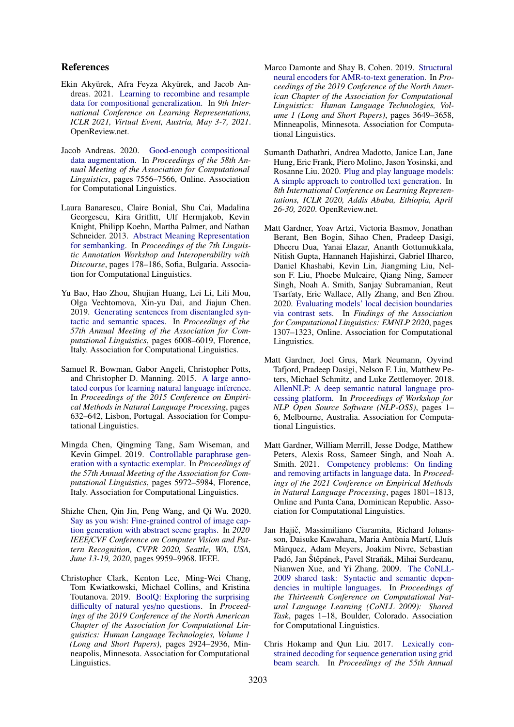## References

- <span id="page-9-2"></span>Ekin Akyürek, Afra Feyza Akyürek, and Jacob Andreas. 2021. [Learning to recombine and resample](https://openreview.net/forum?id=PS3IMnScugk) [data for compositional generalization.](https://openreview.net/forum?id=PS3IMnScugk) In *9th International Conference on Learning Representations, ICLR 2021, Virtual Event, Austria, May 3-7, 2021*. OpenReview.net.
- <span id="page-9-3"></span>Jacob Andreas. 2020. [Good-enough compositional](https://doi.org/10.18653/v1/2020.acl-main.676) [data augmentation.](https://doi.org/10.18653/v1/2020.acl-main.676) In *Proceedings of the 58th Annual Meeting of the Association for Computational Linguistics*, pages 7556–7566, Online. Association for Computational Linguistics.
- <span id="page-9-10"></span>Laura Banarescu, Claire Bonial, Shu Cai, Madalina Georgescu, Kira Griffitt, Ulf Hermjakob, Kevin Knight, Philipp Koehn, Martha Palmer, and Nathan Schneider. 2013. [Abstract Meaning Representation](https://aclanthology.org/W13-2322) [for sembanking.](https://aclanthology.org/W13-2322) In *Proceedings of the 7th Linguistic Annotation Workshop and Interoperability with Discourse*, pages 178–186, Sofia, Bulgaria. Association for Computational Linguistics.
- <span id="page-9-9"></span>Yu Bao, Hao Zhou, Shujian Huang, Lei Li, Lili Mou, Olga Vechtomova, Xin-yu Dai, and Jiajun Chen. 2019. [Generating sentences from disentangled syn](https://doi.org/10.18653/v1/P19-1602)[tactic and semantic spaces.](https://doi.org/10.18653/v1/P19-1602) In *Proceedings of the 57th Annual Meeting of the Association for Computational Linguistics*, pages 6008–6019, Florence, Italy. Association for Computational Linguistics.
- <span id="page-9-6"></span>Samuel R. Bowman, Gabor Angeli, Christopher Potts, and Christopher D. Manning. 2015. [A large anno](https://doi.org/10.18653/v1/D15-1075)[tated corpus for learning natural language inference.](https://doi.org/10.18653/v1/D15-1075) In *Proceedings of the 2015 Conference on Empirical Methods in Natural Language Processing*, pages 632–642, Lisbon, Portugal. Association for Computational Linguistics.
- <span id="page-9-8"></span>Mingda Chen, Qingming Tang, Sam Wiseman, and Kevin Gimpel. 2019. [Controllable paraphrase gen](https://doi.org/10.18653/v1/P19-1599)[eration with a syntactic exemplar.](https://doi.org/10.18653/v1/P19-1599) In *Proceedings of the 57th Annual Meeting of the Association for Computational Linguistics*, pages 5972–5984, Florence, Italy. Association for Computational Linguistics.
- <span id="page-9-12"></span>Shizhe Chen, Qin Jin, Peng Wang, and Qi Wu. 2020. [Say as you wish: Fine-grained control of image cap](https://doi.org/10.1109/CVPR42600.2020.00998)[tion generation with abstract scene graphs.](https://doi.org/10.1109/CVPR42600.2020.00998) In *2020 IEEE*/*CVF Conference on Computer Vision and Pattern Recognition, CVPR 2020, Seattle, WA, USA, June 13-19, 2020*, pages 9959–9968. IEEE.
- <span id="page-9-5"></span>Christopher Clark, Kenton Lee, Ming-Wei Chang, Tom Kwiatkowski, Michael Collins, and Kristina Toutanova. 2019. [BoolQ: Exploring the surprising](https://doi.org/10.18653/v1/N19-1300) diffi[culty of natural yes](https://doi.org/10.18653/v1/N19-1300)/no questions. In *Proceedings of the 2019 Conference of the North American Chapter of the Association for Computational Linguistics: Human Language Technologies, Volume 1 (Long and Short Papers)*, pages 2924–2936, Minneapolis, Minnesota. Association for Computational Linguistics.
- <span id="page-9-11"></span>Marco Damonte and Shay B. Cohen. 2019. [Structural](https://doi.org/10.18653/v1/N19-1366) [neural encoders for AMR-to-text generation.](https://doi.org/10.18653/v1/N19-1366) In *Proceedings of the 2019 Conference of the North American Chapter of the Association for Computational Linguistics: Human Language Technologies, Volume 1 (Long and Short Papers)*, pages 3649–3658, Minneapolis, Minnesota. Association for Computational Linguistics.
- <span id="page-9-7"></span>Sumanth Dathathri, Andrea Madotto, Janice Lan, Jane Hung, Eric Frank, Piero Molino, Jason Yosinski, and Rosanne Liu. 2020. [Plug and play language models:](https://openreview.net/forum?id=H1edEyBKDS) [A simple approach to controlled text generation.](https://openreview.net/forum?id=H1edEyBKDS) In *8th International Conference on Learning Representations, ICLR 2020, Addis Ababa, Ethiopia, April 26-30, 2020*. OpenReview.net.
- <span id="page-9-4"></span>Matt Gardner, Yoav Artzi, Victoria Basmov, Jonathan Berant, Ben Bogin, Sihao Chen, Pradeep Dasigi, Dheeru Dua, Yanai Elazar, Ananth Gottumukkala, Nitish Gupta, Hannaneh Hajishirzi, Gabriel Ilharco, Daniel Khashabi, Kevin Lin, Jiangming Liu, Nelson F. Liu, Phoebe Mulcaire, Qiang Ning, Sameer Singh, Noah A. Smith, Sanjay Subramanian, Reut Tsarfaty, Eric Wallace, Ally Zhang, and Ben Zhou. 2020. [Evaluating models' local decision boundaries](https://doi.org/10.18653/v1/2020.findings-emnlp.117) [via contrast sets.](https://doi.org/10.18653/v1/2020.findings-emnlp.117) In *Findings of the Association for Computational Linguistics: EMNLP 2020*, pages 1307–1323, Online. Association for Computational Linguistics.
- <span id="page-9-14"></span>Matt Gardner, Joel Grus, Mark Neumann, Oyvind Tafjord, Pradeep Dasigi, Nelson F. Liu, Matthew Peters, Michael Schmitz, and Luke Zettlemoyer. 2018. [AllenNLP: A deep semantic natural language pro](https://doi.org/10.18653/v1/W18-2501)[cessing platform.](https://doi.org/10.18653/v1/W18-2501) In *Proceedings of Workshop for NLP Open Source Software (NLP-OSS)*, pages 1– 6, Melbourne, Australia. Association for Computational Linguistics.
- <span id="page-9-0"></span>Matt Gardner, William Merrill, Jesse Dodge, Matthew Peters, Alexis Ross, Sameer Singh, and Noah A. Smith. 2021. [Competency problems: On finding](https://doi.org/10.18653/v1/2021.emnlp-main.135) [and removing artifacts in language data.](https://doi.org/10.18653/v1/2021.emnlp-main.135) In *Proceedings of the 2021 Conference on Empirical Methods in Natural Language Processing*, pages 1801–1813, Online and Punta Cana, Dominican Republic. Association for Computational Linguistics.
- <span id="page-9-1"></span>Jan Hajič, Massimiliano Ciaramita, Richard Johansson, Daisuke Kawahara, Maria Antònia Martí, Lluís Màrquez, Adam Meyers, Joakim Nivre, Sebastian Padó, Jan Štěpánek, Pavel Straňák, Mihai Surdeanu, Nianwen Xue, and Yi Zhang. 2009. [The CoNLL-](https://aclanthology.org/W09-1201)[2009 shared task: Syntactic and semantic depen](https://aclanthology.org/W09-1201)[dencies in multiple languages.](https://aclanthology.org/W09-1201) In *Proceedings of the Thirteenth Conference on Computational Natural Language Learning (CoNLL 2009): Shared Task*, pages 1–18, Boulder, Colorado. Association for Computational Linguistics.
- <span id="page-9-13"></span>Chris Hokamp and Qun Liu. 2017. [Lexically con](https://doi.org/10.18653/v1/P17-1141)[strained decoding for sequence generation using grid](https://doi.org/10.18653/v1/P17-1141) [beam search.](https://doi.org/10.18653/v1/P17-1141) In *Proceedings of the 55th Annual*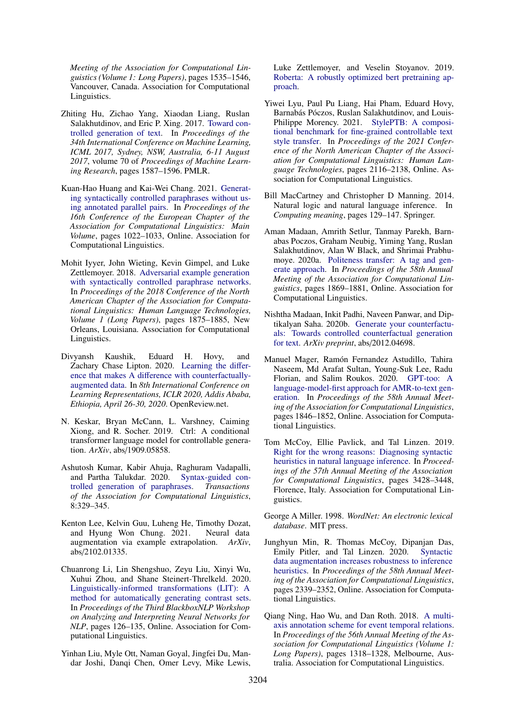*Meeting of the Association for Computational Linguistics (Volume 1: Long Papers)*, pages 1535–1546, Vancouver, Canada. Association for Computational Linguistics.

- <span id="page-10-12"></span>Zhiting Hu, Zichao Yang, Xiaodan Liang, Ruslan Salakhutdinov, and Eric P. Xing. 2017. [Toward con](http://proceedings.mlr.press/v70/hu17e.html)[trolled generation of text.](http://proceedings.mlr.press/v70/hu17e.html) In *Proceedings of the 34th International Conference on Machine Learning, ICML 2017, Sydney, NSW, Australia, 6-11 August 2017*, volume 70 of *Proceedings of Machine Learning Research*, pages 1587–1596. PMLR.
- <span id="page-10-15"></span>Kuan-Hao Huang and Kai-Wei Chang. 2021. [Generat](https://doi.org/10.18653/v1/2021.eacl-main.88)[ing syntactically controlled paraphrases without us](https://doi.org/10.18653/v1/2021.eacl-main.88)[ing annotated parallel pairs.](https://doi.org/10.18653/v1/2021.eacl-main.88) In *Proceedings of the 16th Conference of the European Chapter of the Association for Computational Linguistics: Main Volume*, pages 1022–1033, Online. Association for Computational Linguistics.
- <span id="page-10-4"></span>Mohit Iyyer, John Wieting, Kevin Gimpel, and Luke Zettlemoyer. 2018. [Adversarial example generation](https://doi.org/10.18653/v1/N18-1170) [with syntactically controlled paraphrase networks.](https://doi.org/10.18653/v1/N18-1170) In *Proceedings of the 2018 Conference of the North American Chapter of the Association for Computational Linguistics: Human Language Technologies, Volume 1 (Long Papers)*, pages 1875–1885, New Orleans, Louisiana. Association for Computational Linguistics.
- <span id="page-10-1"></span>Divyansh Kaushik, Eduard H. Hovy, and Zachary Chase Lipton. 2020. [Learning the di](https://openreview.net/forum?id=Sklgs0NFvr)fference that makes A diff[erence with counterfactually](https://openreview.net/forum?id=Sklgs0NFvr)[augmented data.](https://openreview.net/forum?id=Sklgs0NFvr) In *8th International Conference on Learning Representations, ICLR 2020, Addis Ababa, Ethiopia, April 26-30, 2020*. OpenReview.net.
- <span id="page-10-13"></span>N. Keskar, Bryan McCann, L. Varshney, Caiming Xiong, and R. Socher. 2019. Ctrl: A conditional transformer language model for controllable generation. *ArXiv*, abs/1909.05858.
- <span id="page-10-14"></span>Ashutosh Kumar, Kabir Ahuja, Raghuram Vadapalli, and Partha Talukdar. 2020. [Syntax-guided con](https://doi.org/10.1162/tacl_a_00318)[trolled generation of paraphrases.](https://doi.org/10.1162/tacl_a_00318) *Transactions of the Association for Computational Linguistics*, 8:329–345.
- <span id="page-10-10"></span>Kenton Lee, Kelvin Guu, Luheng He, Timothy Dozat, and Hyung Won Chung. 2021. Neural data and Hyung Won Chung. 2021. augmentation via example extrapolation. *ArXiv*, abs/2102.01335.
- <span id="page-10-17"></span>Chuanrong Li, Lin Shengshuo, Zeyu Liu, Xinyi Wu, Xuhui Zhou, and Shane Steinert-Threlkeld. 2020. [Linguistically-informed transformations \(LIT\): A](https://doi.org/10.18653/v1/2020.blackboxnlp-1.12) [method for automatically generating contrast sets.](https://doi.org/10.18653/v1/2020.blackboxnlp-1.12) In *Proceedings of the Third BlackboxNLP Workshop on Analyzing and Interpreting Neural Networks for NLP*, pages 126–135, Online. Association for Computational Linguistics.
- <span id="page-10-9"></span>Yinhan Liu, Myle Ott, Naman Goyal, Jingfei Du, Mandar Joshi, Danqi Chen, Omer Levy, Mike Lewis,

Luke Zettlemoyer, and Veselin Stoyanov. 2019. [Roberta: A robustly optimized bert pretraining ap](http://arxiv.org/abs/1907.11692)[proach.](http://arxiv.org/abs/1907.11692)

- <span id="page-10-2"></span>Yiwei Lyu, Paul Pu Liang, Hai Pham, Eduard Hovy, Barnabás Póczos, Ruslan Salakhutdinov, and Louis-Philippe Morency. 2021. [StylePTB: A composi](https://doi.org/10.18653/v1/2021.naacl-main.171)[tional benchmark for fine-grained controllable text](https://doi.org/10.18653/v1/2021.naacl-main.171) [style transfer.](https://doi.org/10.18653/v1/2021.naacl-main.171) In *Proceedings of the 2021 Conference of the North American Chapter of the Association for Computational Linguistics: Human Language Technologies*, pages 2116–2138, Online. Association for Computational Linguistics.
- <span id="page-10-6"></span>Bill MacCartney and Christopher D Manning. 2014. Natural logic and natural language inference. In *Computing meaning*, pages 129–147. Springer.
- <span id="page-10-11"></span>Aman Madaan, Amrith Setlur, Tanmay Parekh, Barnabas Poczos, Graham Neubig, Yiming Yang, Ruslan Salakhutdinov, Alan W Black, and Shrimai Prabhumoye. 2020a. [Politeness transfer: A tag and gen](https://doi.org/10.18653/v1/2020.acl-main.169)[erate approach.](https://doi.org/10.18653/v1/2020.acl-main.169) In *Proceedings of the 58th Annual Meeting of the Association for Computational Linguistics*, pages 1869–1881, Online. Association for Computational Linguistics.
- <span id="page-10-0"></span>Nishtha Madaan, Inkit Padhi, Naveen Panwar, and Diptikalyan Saha. 2020b. [Generate your counterfactu](https://arxiv.org/abs/2012.04698)[als: Towards controlled counterfactual generation](https://arxiv.org/abs/2012.04698) [for text.](https://arxiv.org/abs/2012.04698) *ArXiv preprint*, abs/2012.04698.
- <span id="page-10-16"></span>Manuel Mager, Ramón Fernandez Astudillo, Tahira Naseem, Md Arafat Sultan, Young-Suk Lee, Radu Florian, and Salim Roukos. 2020. [GPT-too: A](https://doi.org/10.18653/v1/2020.acl-main.167) [language-model-first approach for AMR-to-text gen](https://doi.org/10.18653/v1/2020.acl-main.167)[eration.](https://doi.org/10.18653/v1/2020.acl-main.167) In *Proceedings of the 58th Annual Meeting of the Association for Computational Linguistics*, pages 1846–1852, Online. Association for Computational Linguistics.
- <span id="page-10-3"></span>Tom McCoy, Ellie Pavlick, and Tal Linzen. 2019. [Right for the wrong reasons: Diagnosing syntactic](https://doi.org/10.18653/v1/P19-1334) [heuristics in natural language inference.](https://doi.org/10.18653/v1/P19-1334) In *Proceedings of the 57th Annual Meeting of the Association for Computational Linguistics*, pages 3428–3448, Florence, Italy. Association for Computational Linguistics.
- <span id="page-10-5"></span>George A Miller. 1998. *WordNet: An electronic lexical database*. MIT press.
- <span id="page-10-8"></span>Junghyun Min, R. Thomas McCoy, Dipanjan Das, Emily Pitler, and Tal Linzen. 2020. [Syntactic](https://doi.org/10.18653/v1/2020.acl-main.212) [data augmentation increases robustness to inference](https://doi.org/10.18653/v1/2020.acl-main.212) [heuristics.](https://doi.org/10.18653/v1/2020.acl-main.212) In *Proceedings of the 58th Annual Meeting of the Association for Computational Linguistics*, pages 2339–2352, Online. Association for Computational Linguistics.
- <span id="page-10-7"></span>Qiang Ning, Hao Wu, and Dan Roth. 2018. [A multi](https://doi.org/10.18653/v1/P18-1122)[axis annotation scheme for event temporal relations.](https://doi.org/10.18653/v1/P18-1122) In *Proceedings of the 56th Annual Meeting of the Association for Computational Linguistics (Volume 1: Long Papers)*, pages 1318–1328, Melbourne, Australia. Association for Computational Linguistics.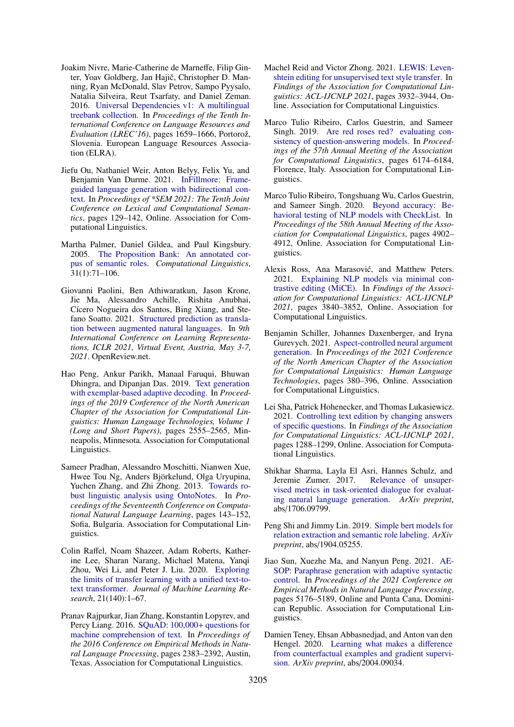- <span id="page-11-9"></span>Joakim Nivre, Marie-Catherine de Marneffe, Filip Ginter, Yoav Goldberg, Jan Hajič, Christopher D. Manning, Ryan McDonald, Slav Petrov, Sampo Pyysalo, Natalia Silveira, Reut Tsarfaty, and Daniel Zeman. 2016. [Universal Dependencies v1: A multilingual](https://aclanthology.org/L16-1262) [treebank collection.](https://aclanthology.org/L16-1262) In *Proceedings of the Tenth International Conference on Language Resources and Evaluation (LREC'16)*, pages 1659–1666, Portorož, Slovenia. European Language Resources Association (ELRA).
- <span id="page-11-14"></span>Jiefu Ou, Nathaniel Weir, Anton Belyy, Felix Yu, and Benjamin Van Durme. 2021. [InFillmore: Frame](https://doi.org/10.18653/v1/2021.starsem-1.12)[guided language generation with bidirectional con](https://doi.org/10.18653/v1/2021.starsem-1.12)[text.](https://doi.org/10.18653/v1/2021.starsem-1.12) In *Proceedings of \*SEM 2021: The Tenth Joint Conference on Lexical and Computational Semantics*, pages 129–142, Online. Association for Computational Linguistics.
- <span id="page-11-3"></span>Martha Palmer, Daniel Gildea, and Paul Kingsbury. 2005. [The Proposition Bank: An annotated cor](https://doi.org/10.1162/0891201053630264)[pus of semantic roles.](https://doi.org/10.1162/0891201053630264) *Computational Linguistics*, 31(1):71–106.
- <span id="page-11-4"></span>Giovanni Paolini, Ben Athiwaratkun, Jason Krone, Jie Ma, Alessandro Achille, Rishita Anubhai, Cícero Nogueira dos Santos, Bing Xiang, and Stefano Soatto. 2021. [Structured prediction as transla](https://openreview.net/forum?id=US-TP-xnXI)[tion between augmented natural languages.](https://openreview.net/forum?id=US-TP-xnXI) In *9th International Conference on Learning Representations, ICLR 2021, Virtual Event, Austria, May 3-7, 2021*. OpenReview.net.
- <span id="page-11-12"></span>Hao Peng, Ankur Parikh, Manaal Faruqui, Bhuwan Dhingra, and Dipanjan Das. 2019. [Text generation](https://doi.org/10.18653/v1/N19-1263) [with exemplar-based adaptive decoding.](https://doi.org/10.18653/v1/N19-1263) In *Proceedings of the 2019 Conference of the North American Chapter of the Association for Computational Linguistics: Human Language Technologies, Volume 1 (Long and Short Papers)*, pages 2555–2565, Minneapolis, Minnesota. Association for Computational Linguistics.
- <span id="page-11-6"></span>Sameer Pradhan, Alessandro Moschitti, Nianwen Xue, Hwee Tou Ng, Anders Björkelund, Olga Uryupina, Yuchen Zhang, and Zhi Zhong. 2013. [Towards ro](https://aclanthology.org/W13-3516)[bust linguistic analysis using OntoNotes.](https://aclanthology.org/W13-3516) In *Proceedings of the Seventeenth Conference on Computational Natural Language Learning*, pages 143–152, Sofia, Bulgaria. Association for Computational Linguistics.
- <span id="page-11-5"></span>Colin Raffel, Noam Shazeer, Adam Roberts, Katherine Lee, Sharan Narang, Michael Matena, Yanqi Zhou, Wei Li, and Peter J. Liu. 2020. [Exploring](http://jmlr.org/papers/v21/20-074.html) [the limits of transfer learning with a unified text-to](http://jmlr.org/papers/v21/20-074.html)[text transformer.](http://jmlr.org/papers/v21/20-074.html) *Journal of Machine Learning Research*, 21(140):1–67.
- <span id="page-11-8"></span>Pranav Rajpurkar, Jian Zhang, Konstantin Lopyrev, and Percy Liang. 2016. [SQuAD: 100,000](https://doi.org/10.18653/v1/D16-1264)+ questions for [machine comprehension of text.](https://doi.org/10.18653/v1/D16-1264) In *Proceedings of the 2016 Conference on Empirical Methods in Natural Language Processing*, pages 2383–2392, Austin, Texas. Association for Computational Linguistics.
- <span id="page-11-0"></span>Machel Reid and Victor Zhong. 2021. [LEWIS: Leven](https://doi.org/10.18653/v1/2021.findings-acl.344)[shtein editing for unsupervised text style transfer.](https://doi.org/10.18653/v1/2021.findings-acl.344) In *Findings of the Association for Computational Linguistics: ACL-IJCNLP 2021*, pages 3932–3944, Online. Association for Computational Linguistics.
- <span id="page-11-10"></span>Marco Tulio Ribeiro, Carlos Guestrin, and Sameer Singh. 2019. [Are red roses red? evaluating con](https://doi.org/10.18653/v1/P19-1621)[sistency of question-answering models.](https://doi.org/10.18653/v1/P19-1621) In *Proceedings of the 57th Annual Meeting of the Association for Computational Linguistics*, pages 6174–6184, Florence, Italy. Association for Computational Linguistics.
- <span id="page-11-11"></span>Marco Tulio Ribeiro, Tongshuang Wu, Carlos Guestrin, and Sameer Singh. 2020. [Beyond accuracy: Be](https://doi.org/10.18653/v1/2020.acl-main.442)[havioral testing of NLP models with CheckList.](https://doi.org/10.18653/v1/2020.acl-main.442) In *Proceedings of the 58th Annual Meeting of the Association for Computational Linguistics*, pages 4902– 4912, Online. Association for Computational Linguistics.
- <span id="page-11-1"></span>Alexis Ross, Ana Marasović, and Matthew Peters. 2021. [Explaining NLP models via minimal con](https://doi.org/10.18653/v1/2021.findings-acl.336)[trastive editing \(MiCE\).](https://doi.org/10.18653/v1/2021.findings-acl.336) In *Findings of the Association for Computational Linguistics: ACL-IJCNLP 2021*, pages 3840–3852, Online. Association for Computational Linguistics.
- <span id="page-11-16"></span>Benjamin Schiller, Johannes Daxenberger, and Iryna Gurevych. 2021. [Aspect-controlled neural argument](https://doi.org/10.18653/v1/2021.naacl-main.34) [generation.](https://doi.org/10.18653/v1/2021.naacl-main.34) In *Proceedings of the 2021 Conference of the North American Chapter of the Association for Computational Linguistics: Human Language Technologies*, pages 380–396, Online. Association for Computational Linguistics.
- <span id="page-11-15"></span>Lei Sha, Patrick Hohenecker, and Thomas Lukasiewicz. 2021. [Controlling text edition by changing answers](https://doi.org/10.18653/v1/2021.findings-acl.110) [of specific questions.](https://doi.org/10.18653/v1/2021.findings-acl.110) In *Findings of the Association for Computational Linguistics: ACL-IJCNLP 2021*, pages 1288–1299, Online. Association for Computational Linguistics.
- <span id="page-11-17"></span>Shikhar Sharma, Layla El Asri, Hannes Schulz, and Jeremie Zumer. 2017. [vised metrics in task-oriented dialogue for evaluat](https://arxiv.org/abs/1706.09799)[ing natural language generation.](https://arxiv.org/abs/1706.09799) *ArXiv preprint*, abs/1706.09799.
- <span id="page-11-7"></span>Peng Shi and Jimmy Lin. 2019. [Simple bert models for](https://arxiv.org/abs/1904.05255) [relation extraction and semantic role labeling.](https://arxiv.org/abs/1904.05255) *ArXiv preprint*, abs/1904.05255.
- <span id="page-11-13"></span>Jiao Sun, Xuezhe Ma, and Nanyun Peng. 2021. [AE-](https://doi.org/10.18653/v1/2021.emnlp-main.420)[SOP: Paraphrase generation with adaptive syntactic](https://doi.org/10.18653/v1/2021.emnlp-main.420) [control.](https://doi.org/10.18653/v1/2021.emnlp-main.420) In *Proceedings of the 2021 Conference on Empirical Methods in Natural Language Processing*, pages 5176–5189, Online and Punta Cana, Dominican Republic. Association for Computational Linguistics.
- <span id="page-11-2"></span>Damien Teney, Ehsan Abbasnedjad, and Anton van den Hengel. 2020. [Learning what makes a di](https://arxiv.org/abs/2004.09034)fference [from counterfactual examples and gradient supervi](https://arxiv.org/abs/2004.09034)[sion.](https://arxiv.org/abs/2004.09034) *ArXiv preprint*, abs/2004.09034.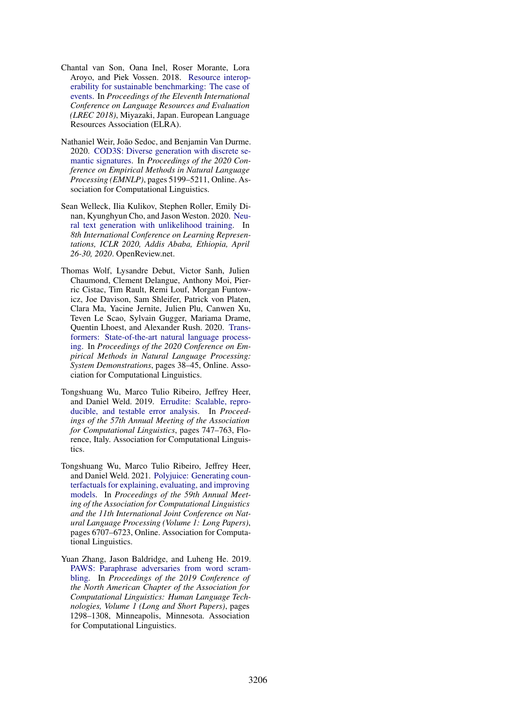- <span id="page-12-6"></span>Chantal van Son, Oana Inel, Roser Morante, Lora Aroyo, and Piek Vossen. 2018. [Resource interop](https://aclanthology.org/L18-1178)[erability for sustainable benchmarking: The case of](https://aclanthology.org/L18-1178) [events.](https://aclanthology.org/L18-1178) In *Proceedings of the Eleventh International Conference on Language Resources and Evaluation (LREC 2018)*, Miyazaki, Japan. European Language Resources Association (ELRA).
- <span id="page-12-3"></span>Nathaniel Weir, João Sedoc, and Benjamin Van Durme. 2020. [COD3S: Diverse generation with discrete se](https://doi.org/10.18653/v1/2020.emnlp-main.421)[mantic signatures.](https://doi.org/10.18653/v1/2020.emnlp-main.421) In *Proceedings of the 2020 Conference on Empirical Methods in Natural Language Processing (EMNLP)*, pages 5199–5211, Online. Association for Computational Linguistics.
- <span id="page-12-1"></span>Sean Welleck, Ilia Kulikov, Stephen Roller, Emily Dinan, Kyunghyun Cho, and Jason Weston. 2020. [Neu](https://openreview.net/forum?id=SJeYe0NtvH)[ral text generation with unlikelihood training.](https://openreview.net/forum?id=SJeYe0NtvH) In *8th International Conference on Learning Representations, ICLR 2020, Addis Ababa, Ethiopia, April 26-30, 2020*. OpenReview.net.
- <span id="page-12-5"></span>Thomas Wolf, Lysandre Debut, Victor Sanh, Julien Chaumond, Clement Delangue, Anthony Moi, Pierric Cistac, Tim Rault, Remi Louf, Morgan Funtowicz, Joe Davison, Sam Shleifer, Patrick von Platen, Clara Ma, Yacine Jernite, Julien Plu, Canwen Xu, Teven Le Scao, Sylvain Gugger, Mariama Drame, Quentin Lhoest, and Alexander Rush. 2020. [Trans](https://doi.org/10.18653/v1/2020.emnlp-demos.6)[formers: State-of-the-art natural language process](https://doi.org/10.18653/v1/2020.emnlp-demos.6)[ing.](https://doi.org/10.18653/v1/2020.emnlp-demos.6) In *Proceedings of the 2020 Conference on Empirical Methods in Natural Language Processing: System Demonstrations*, pages 38–45, Online. Association for Computational Linguistics.
- <span id="page-12-4"></span>Tongshuang Wu, Marco Tulio Ribeiro, Jeffrey Heer, and Daniel Weld. 2019. [Errudite: Scalable, repro](https://doi.org/10.18653/v1/P19-1073)[ducible, and testable error analysis.](https://doi.org/10.18653/v1/P19-1073) In *Proceedings of the 57th Annual Meeting of the Association for Computational Linguistics*, pages 747–763, Florence, Italy. Association for Computational Linguistics.
- <span id="page-12-0"></span>Tongshuang Wu, Marco Tulio Ribeiro, Jeffrey Heer, and Daniel Weld. 2021. [Polyjuice: Generating coun](https://doi.org/10.18653/v1/2021.acl-long.523)[terfactuals for explaining, evaluating, and improving](https://doi.org/10.18653/v1/2021.acl-long.523) [models.](https://doi.org/10.18653/v1/2021.acl-long.523) In *Proceedings of the 59th Annual Meeting of the Association for Computational Linguistics and the 11th International Joint Conference on Natural Language Processing (Volume 1: Long Papers)*, pages 6707–6723, Online. Association for Computational Linguistics.
- <span id="page-12-2"></span>Yuan Zhang, Jason Baldridge, and Luheng He. 2019. [PAWS: Paraphrase adversaries from word scram](https://doi.org/10.18653/v1/N19-1131)[bling.](https://doi.org/10.18653/v1/N19-1131) In *Proceedings of the 2019 Conference of the North American Chapter of the Association for Computational Linguistics: Human Language Technologies, Volume 1 (Long and Short Papers)*, pages 1298–1308, Minneapolis, Minnesota. Association for Computational Linguistics.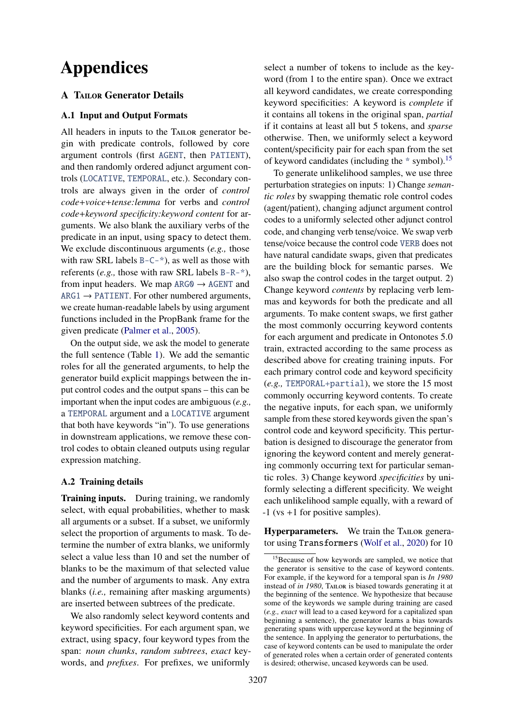# Appendices

## **A TAILOR Generator Details**

## <span id="page-13-0"></span>A.1 Input and Output Formats

All headers in inputs to the TAILOR generator begin with predicate controls, followed by core argument controls (first AGENT, then PATIENT), and then randomly ordered adjunct argument controls (LOCATIVE, TEMPORAL, etc.). Secondary controls are always given in the order of *control code*+*voice*+*tense:lemma* for verbs and *control code*+*keyword specificity:keyword content* for arguments. We also blank the auxiliary verbs of the predicate in an input, using spacy to detect them. We exclude discontinuous arguments (*e.g.,* those with raw SRL labels  $B - C - \dot{\phi}$ , as well as those with referents (*e.g.,* those with raw SRL labels B-R-\*), from input headers. We map  $ARG0 \rightarrow AGENT$  and  $ARG1 \rightarrow PATIENT$ . For other numbered arguments, we create human-readable labels by using argument functions included in the PropBank frame for the given predicate [\(Palmer et al.,](#page-11-3) [2005\)](#page-11-3).

On the output side, we ask the model to generate the full sentence (Table [1\)](#page-2-1). We add the semantic roles for all the generated arguments, to help the generator build explicit mappings between the input control codes and the output spans – this can be important when the input codes are ambiguous (*e.g.,* a TEMPORAL argument and a LOCATIVE argument that both have keywords "in"). To use generations in downstream applications, we remove these control codes to obtain cleaned outputs using regular expression matching.

## <span id="page-13-1"></span>A.2 Training details

Training inputs. During training, we randomly select, with equal probabilities, whether to mask all arguments or a subset. If a subset, we uniformly select the proportion of arguments to mask. To determine the number of extra blanks, we uniformly select a value less than 10 and set the number of blanks to be the maximum of that selected value and the number of arguments to mask. Any extra blanks (*i.e.,* remaining after masking arguments) are inserted between subtrees of the predicate.

We also randomly select keyword contents and keyword specificities. For each argument span, we extract, using spacy, four keyword types from the span: *noun chunks*, *random subtrees*, *exact* keywords, and *prefixes*. For prefixes, we uniformly

select a number of tokens to include as the keyword (from 1 to the entire span). Once we extract all keyword candidates, we create corresponding keyword specificities: A keyword is *complete* if it contains all tokens in the original span, *partial* if it contains at least all but 5 tokens, and *sparse* otherwise. Then, we uniformly select a keyword content/specificity pair for each span from the set of keyword candidates (including the  $*$  symbol).<sup>[15](#page-13-2)</sup>

To generate unlikelihood samples, we use three perturbation strategies on inputs: 1) Change *semantic roles* by swapping thematic role control codes (agent/patient), changing adjunct argument control codes to a uniformly selected other adjunct control code, and changing verb tense/voice. We swap verb tense/voice because the control code VERB does not have natural candidate swaps, given that predicates are the building block for semantic parses. We also swap the control codes in the target output. 2) Change keyword *contents* by replacing verb lemmas and keywords for both the predicate and all arguments. To make content swaps, we first gather the most commonly occurring keyword contents for each argument and predicate in Ontonotes 5.0 train, extracted according to the same process as described above for creating training inputs. For each primary control code and keyword specificity (*e.g.,* TEMPORAL+partial), we store the 15 most commonly occurring keyword contents. To create the negative inputs, for each span, we uniformly sample from these stored keywords given the span's control code and keyword specificity. This perturbation is designed to discourage the generator from ignoring the keyword content and merely generating commonly occurring text for particular semantic roles. 3) Change keyword *specificities* by uniformly selecting a different specificity. We weight each unlikelihood sample equally, with a reward of -1 (vs +1 for positive samples).

Hyperparameters. We train the TAILOR generator using Transformers [\(Wolf et al.,](#page-12-5) [2020\)](#page-12-5) for 10

<span id="page-13-2"></span><sup>&</sup>lt;sup>15</sup>Because of how keywords are sampled, we notice that the generator is sensitive to the case of keyword contents. For example, if the keyword for a temporal span is *In 1980* instead of *in 1980*, TAILOR is biased towards generating it at the beginning of the sentence. We hypothesize that because some of the keywords we sample during training are cased (*e.g., exact* will lead to a cased keyword for a capitalized span beginning a sentence), the generator learns a bias towards generating spans with uppercase keyword at the beginning of the sentence. In applying the generator to perturbations, the case of keyword contents can be used to manipulate the order of generated roles when a certain order of generated contents is desired; otherwise, uncased keywords can be used.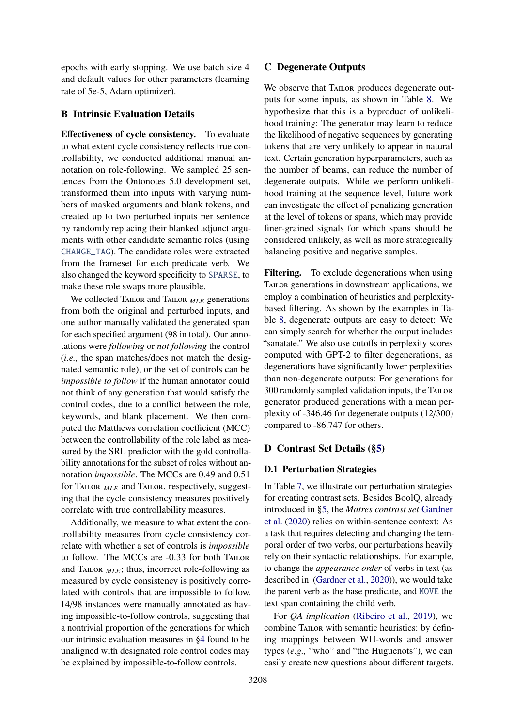epochs with early stopping. We use batch size 4 and default values for other parameters (learning rate of 5e-5, Adam optimizer).

## <span id="page-14-1"></span>B Intrinsic Evaluation Details

Effectiveness of cycle consistency. To evaluate to what extent cycle consistency reflects true controllability, we conducted additional manual annotation on role-following. We sampled 25 sentences from the Ontonotes 5.0 development set, transformed them into inputs with varying numbers of masked arguments and blank tokens, and created up to two perturbed inputs per sentence by randomly replacing their blanked adjunct arguments with other candidate semantic roles (using CHANGE\_TAG). The candidate roles were extracted from the frameset for each predicate verb. We also changed the keyword specificity to SPARSE, to make these role swaps more plausible.

We collected Tailor and Tailor *MLE* generations from both the original and perturbed inputs, and one author manually validated the generated span for each specified argument (98 in total). Our annotations were *following* or *not following* the control (*i.e.,* the span matches/does not match the designated semantic role), or the set of controls can be *impossible to follow* if the human annotator could not think of any generation that would satisfy the control codes, due to a conflict between the role, keywords, and blank placement. We then computed the Matthews correlation coefficient (MCC) between the controllability of the role label as measured by the SRL predictor with the gold controllability annotations for the subset of roles without annotation *impossible*. The MCCs are 0.49 and 0.51 for Tailor *MLE* and Tailor, respectively, suggesting that the cycle consistency measures positively correlate with true controllability measures.

Additionally, we measure to what extent the controllability measures from cycle consistency correlate with whether a set of controls is *impossible* to follow. The MCCs are -0.33 for both Tailor and TAILOR  $_{MLE}$ ; thus, incorrect role-following as measured by cycle consistency is positively correlated with controls that are impossible to follow. 14/98 instances were manually annotated as having impossible-to-follow controls, suggesting that a nontrivial proportion of the generations for which our intrinsic evaluation measures in [§4](#page-3-6) found to be unaligned with designated role control codes may be explained by impossible-to-follow controls.

## <span id="page-14-0"></span>C Degenerate Outputs

We observe that TAILOR produces degenerate outputs for some inputs, as shown in Table [8.](#page-16-1) We hypothesize that this is a byproduct of unlikelihood training: The generator may learn to reduce the likelihood of negative sequences by generating tokens that are very unlikely to appear in natural text. Certain generation hyperparameters, such as the number of beams, can reduce the number of degenerate outputs. While we perform unlikelihood training at the sequence level, future work can investigate the effect of penalizing generation at the level of tokens or spans, which may provide finer-grained signals for which spans should be considered unlikely, as well as more strategically balancing positive and negative samples.

Filtering. To exclude degenerations when using TAILOR generations in downstream applications, we employ a combination of heuristics and perplexitybased filtering. As shown by the examples in Table [8,](#page-16-1) degenerate outputs are easy to detect: We can simply search for whether the output includes "sanatate." We also use cutoffs in perplexity scores computed with GPT-2 to filter degenerations, as degenerations have significantly lower perplexities than non-degenerate outputs: For generations for 300 randomly sampled validation inputs, the Tailor generator produced generations with a mean perplexity of -346.46 for degenerate outputs (12/300) compared to -86.747 for others.

## <span id="page-14-3"></span>D Contrast Set Details ([§5\)](#page-5-0)

#### <span id="page-14-2"></span>D.1 Perturbation Strategies

In Table [7,](#page-15-0) we illustrate our perturbation strategies for creating contrast sets. Besides BoolQ, already introduced in [§5,](#page-5-0) the *Matres contrast set* [Gardner](#page-9-4) [et al.](#page-9-4) [\(2020\)](#page-9-4) relies on within-sentence context: As a task that requires detecting and changing the temporal order of two verbs, our perturbations heavily rely on their syntactic relationships. For example, to change the *appearance order* of verbs in text (as described in [\(Gardner et al.,](#page-9-4) [2020\)](#page-9-4)), we would take the parent verb as the base predicate, and MOVE the text span containing the child verb.

For *QA implication* [\(Ribeiro et al.,](#page-11-10) [2019\)](#page-11-10), we combine TAILOR with semantic heuristics: by defining mappings between WH-words and answer types (*e.g.,* "who" and "the Huguenots"), we can easily create new questions about different targets.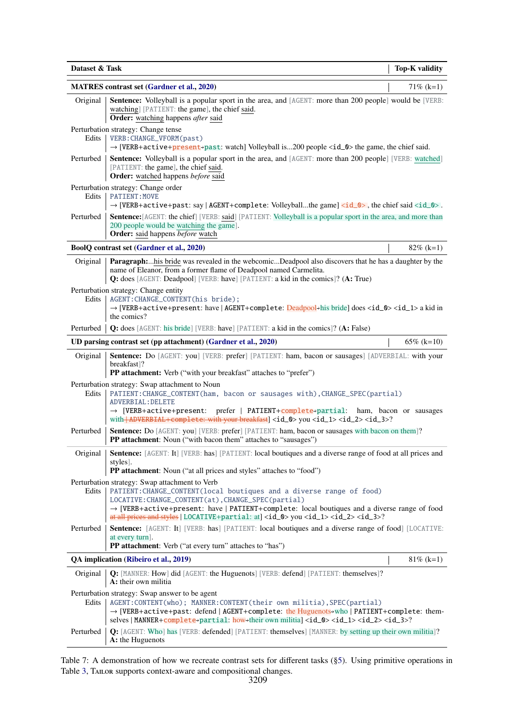<span id="page-15-0"></span>

| Dataset & Task |                                                                                                                                                                                                                                                                                                                                                                                                                             | <b>Top-K validity</b>  |
|----------------|-----------------------------------------------------------------------------------------------------------------------------------------------------------------------------------------------------------------------------------------------------------------------------------------------------------------------------------------------------------------------------------------------------------------------------|------------------------|
|                | <b>MATRES</b> contrast set (Gardner et al., 2020)                                                                                                                                                                                                                                                                                                                                                                           | $71\%$ (k=1)           |
| Original       | Sentence: Volleyball is a popular sport in the area, and [AGENT: more than 200 people] would be [VERB:<br>watching] [PATIENT: the game], the chief said.<br><b>Order:</b> watching happens after said                                                                                                                                                                                                                       |                        |
| Edits          | Perturbation strategy: Change tense<br>VERB: CHANGE_VFORM(past)<br>$\rightarrow$ [VERB+active+present-past: watch] Volleyball is200 people <id_0> the game, the chief said.</id_0>                                                                                                                                                                                                                                          |                        |
| Perturbed      | <b>Sentence:</b> Volleyball is a popular sport in the area, and [AGENT: more than 200 people] [VERB: watched]<br>[PATIENT: the game], the chief said.<br>Order: watched happens before said                                                                                                                                                                                                                                 |                        |
| Edits          | Perturbation strategy: Change order<br><b>PATIENT: MOVE</b><br>$\rightarrow$ [VERB+active+past: say   AGENT+complete: Volleyballthe game] <id_0>, the chief said <id_0>.</id_0></id_0>                                                                                                                                                                                                                                      |                        |
| Perturbed      | <b>Sentence:</b> [AGENT: the chief] [VERB: said] [PATIENT: Volleyball is a popular sport in the area, and more than<br>200 people would be watching the game].<br>Order: said happens before watch                                                                                                                                                                                                                          |                        |
|                | BoolQ contrast set (Gardner et al., 2020)                                                                                                                                                                                                                                                                                                                                                                                   | $82\%$ (k=1)           |
| Original       | <b>Paragraph:</b> his bride was revealed in the webcomicDeadpool also discovers that he has a daughter by the<br>name of Eleanor, from a former flame of Deadpool named Carmelita.<br><b>Q:</b> does [AGENT: Deadpool] [VERB: have] [PATIENT: a kid in the comics]? (A: True)                                                                                                                                               |                        |
| Edits          | Perturbation strategy: Change entity<br>AGENT: CHANGE_CONTENT(his bride);<br>→ [VERB+active+present: have   AGENT+complete: Deadpool-his bride] does <id_0> <id_1> a kid in<br/>the comics?</id_1></id_0>                                                                                                                                                                                                                   |                        |
| Perturbed      | <b>Q:</b> does [AGENT: his bride] [VERB: have] [PATIENT: a kid in the comics]? (A: False)                                                                                                                                                                                                                                                                                                                                   |                        |
|                | UD parsing contrast set (pp attachment) (Gardner et al., 2020)                                                                                                                                                                                                                                                                                                                                                              | $65\%$ (k=10)          |
| Original       | Sentence: Do [AGENT: you] [VERB: prefer] [PATIENT: ham, bacon or sausages] [ADVERBIAL: with your<br>breakfast]?<br><b>PP attachment:</b> Verb ("with your breakfast" attaches to "prefer")                                                                                                                                                                                                                                  |                        |
| Edits          | Perturbation strategy: Swap attachment to Noun<br>PATIENT: CHANGE_CONTENT(ham, bacon or sausages with), CHANGE_SPEC(partial)<br><b>ADVERBIAL: DELETE</b>                                                                                                                                                                                                                                                                    |                        |
|                | $\rightarrow$ [VERB+active+present: prefer   PATIENT+complete+partial:<br>with <b>ADVERBIAL+complete:</b> with your breakfast   <id_0> you <id_1> <id_2> <id_3>?</id_3></id_2></id_1></id_0>                                                                                                                                                                                                                                | ham, bacon or sausages |
| Perturbed      | Sentence: Do [AGENT: you] [VERB: prefer] [PATIENT: ham, bacon or sausages with bacon on them]?<br>PP attachment: Noun ("with bacon them" attaches to "sausages")                                                                                                                                                                                                                                                            |                        |
| Original       | Sentence: [AGENT: It] [VERB: has] [PATIENT: local boutiques and a diverse range of food at all prices and<br>styles].<br>PP attachment: Noun ("at all prices and styles" attaches to "food")                                                                                                                                                                                                                                |                        |
| Edits          | Perturbation strategy: Swap attachment to Verb<br>PATIENT: CHANGE_CONTENT(local boutiques and a diverse range of food)<br>LOCATIVE: CHANGE_CONTENT(at), CHANGE_SPEC(partial)<br>$\rightarrow$ [VERB+active+present: have   PATIENT+complete: local boutiques and a diverse range of food<br>at all prices and styles   LOCATIVE+partial: at <a>  <id_0<br></id_0<br>&gt; you <id_1> <id_2> <id_3>?</id_3></id_2></id_1></a> |                        |
| Perturbed      | Sentence: [AGENT: It] [VERB: has] [PATIENT: local boutiques and a diverse range of food] [LOCATIVE:<br>at every turn].<br><b>PP attachment:</b> Verb ("at every turn" attaches to "has")                                                                                                                                                                                                                                    |                        |
|                | QA implication (Ribeiro et al., 2019)                                                                                                                                                                                                                                                                                                                                                                                       | $81\%$ (k=1)           |
| Original       | Q: [MANNER: How] did [AGENT: the Huguenots] [VERB: defend] [PATIENT: themselves]?<br>A: their own militia                                                                                                                                                                                                                                                                                                                   |                        |
| Edits          | Perturbation strategy: Swap answer to be agent<br>AGENT: CONTENT(who); MANNER: CONTENT(their own militia), SPEC(partial)<br>$\rightarrow$ [VERB+active+past: defend   AGENT+complete: the Huguenots→who   PATIENT+complete: them-<br>selves   MANNER+ $\text{complete}$ +partial: how+their own militia] <id_0> <id_1> <id_2> <id_3>?</id_3></id_2></id_1></id_0>                                                           |                        |
| Perturbed      | Q: [AGENT: Who] has [VERB: defended] [PATIENT: themselves] [MANNER: by setting up their own militia]?<br>A: the Huguenots                                                                                                                                                                                                                                                                                                   |                        |

Table 7: A demonstration of how we recreate contrast sets for different tasks ([§5\)](#page-5-0). Using primitive operations in Table [3,](#page-4-0) TAILOR supports context-aware and compositional changes.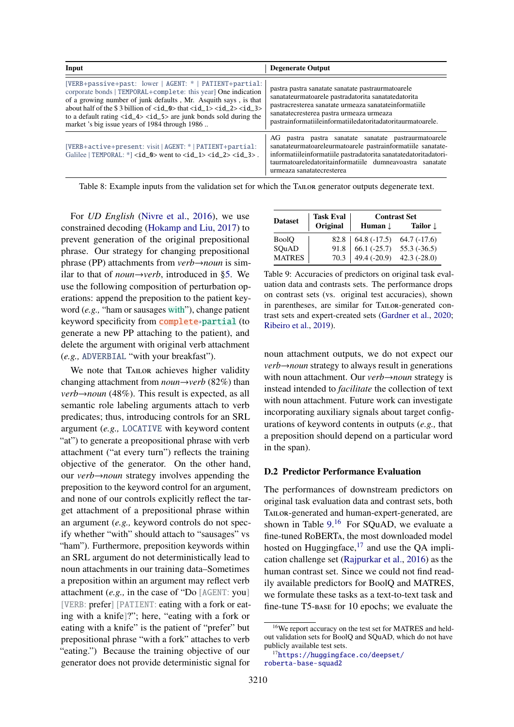<span id="page-16-1"></span>

| Input                                                                                                                                                                                                                                                                                                                                                                                                                                                                              | <b>Degenerate Output</b>                                                                                                                                                                                                                                                        |
|------------------------------------------------------------------------------------------------------------------------------------------------------------------------------------------------------------------------------------------------------------------------------------------------------------------------------------------------------------------------------------------------------------------------------------------------------------------------------------|---------------------------------------------------------------------------------------------------------------------------------------------------------------------------------------------------------------------------------------------------------------------------------|
| [VERB+passive+past: lower   AGENT: *   PATIENT+partial:  <br>corporate bonds   TEMPORAL+complete: this year One indication<br>of a growing number of junk defaults, Mr. Asquith says, is that<br>about half of the \$3 billion of $\langle id_0 \rangle$ that $\langle id_1 \rangle \langle id_2 \rangle \langle id_3 \rangle$<br>to a default rating $\langle id_4 \rangle \langle id_5 \rangle$ are junk bonds sold during the<br>market 's big issue years of 1984 through 1986 | pastra pastra sanatate sanatate pastraurmatoarele<br>sanatateurmatoarele pastradatorita sanatatedatorita<br>pastracresterea sanatate urmeaza sanatateinformatiile<br>sanatatecresterea pastra urmeaza urmeaza<br>pastrainformatiileinformatiiledatoritadatoritaurmatoarele.     |
| [VERB+active+present: visit   AGENT: *   PATIENT+partial:<br>Galilee   TEMPORAL: $*$ ] <id_0> went to <id_1> <id_2> <id_3>.</id_3></id_2></id_1></id_0>                                                                                                                                                                                                                                                                                                                            | AG pastra pastra sanatate sanatate pastraurmatoarele<br>sanatateurmatoareleurmatoarele pastrainformatiile sanatate-<br>informatiileinformatiile pastradatorita sanatatedatoritadatori-<br>taurmatoareledatoritainformatiile dumneavoastra sanatate<br>urmeaza sanatatecresterea |

Table 8: Example inputs from the validation set for which the TAILOR generator outputs degenerate text.

For *UD English* [\(Nivre et al.,](#page-11-9) [2016\)](#page-11-9), we use constrained decoding [\(Hokamp and Liu,](#page-9-13) [2017\)](#page-9-13) to prevent generation of the original prepositional phrase. Our strategy for changing prepositional phrase (PP) attachments from *verb*→*noun* is similar to that of *noun*→*verb*, introduced in [§5.](#page-5-0) We use the following composition of perturbation operations: append the preposition to the patient keyword (*e.g.,* "ham or sausages with"), change patient keyword specificity from **complete** partial (to generate a new PP attaching to the patient), and delete the argument with original verb attachment (*e.g.,* ADVERBIAL "with your breakfast").

We note that TAILOR achieves higher validity changing attachment from *noun*→*verb* (82%) than *verb→noun* (48%). This result is expected, as all semantic role labeling arguments attach to verb predicates; thus, introducing controls for an SRL argument (*e.g.,* LOCATIVE with keyword content "at") to generate a preopositional phrase with verb attachment ("at every turn") reflects the training objective of the generator. On the other hand, our *verb*→*noun* strategy involves appending the preposition to the keyword control for an argument, and none of our controls explicitly reflect the target attachment of a prepositional phrase within an argument (*e.g.,* keyword controls do not specify whether "with" should attach to "sausages" vs "ham"). Furthermore, preposition keywords within an SRL argument do not deterministically lead to noun attachments in our training data–Sometimes a preposition within an argument may reflect verb attachment (*e.g.,* in the case of "Do [AGENT: you] [VERB: prefer] [PATIENT: eating with a fork or eating with a knife]?"; here, "eating with a fork or eating with a knife" is the patient of "prefer" but prepositional phrase "with a fork" attaches to verb "eating.") Because the training objective of our generator does not provide deterministic signal for

<span id="page-16-2"></span>

|                | <b>Task Eval</b> | <b>Contrast Set</b><br>Human $\mathbf \downarrow$<br>Tailor <b>L</b><br>$\begin{array}{ l} 64.8 (-17.5) \\ 66.1 (-25.7) \\ 49.4 (-20.9) \end{array}$<br>$64.7(-17.6)$ |               |  |
|----------------|------------------|-----------------------------------------------------------------------------------------------------------------------------------------------------------------------|---------------|--|
| <b>Dataset</b> | Original         |                                                                                                                                                                       |               |  |
| <b>BoolO</b>   | 82.8             |                                                                                                                                                                       |               |  |
| SQuAD          | 91.8             |                                                                                                                                                                       | $55.3(-36.5)$ |  |
| <b>MATRES</b>  | 70.3             |                                                                                                                                                                       | $42.3(-28.0)$ |  |

Table 9: Accuracies of predictors on original task evaluation data and contrasts sets. The performance drops on contrast sets (vs. original test accuracies), shown in parentheses, are similar for TAILOR-generated contrast sets and expert-created sets [\(Gardner et al.,](#page-9-4) [2020;](#page-9-4) [Ribeiro et al.,](#page-11-10) [2019\)](#page-11-10).

noun attachment outputs, we do not expect our *verb→noun* strategy to always result in generations with noun attachment. Our *verb*→*noun* strategy is instead intended to *facilitate* the collection of text with noun attachment. Future work can investigate incorporating auxiliary signals about target configurations of keyword contents in outputs (*e.g.,* that a preposition should depend on a particular word in the span).

#### <span id="page-16-0"></span>D.2 Predictor Performance Evaluation

The performances of downstream predictors on original task evaluation data and contrast sets, both Tailor-generated and human-expert-generated, are shown in Table  $9<sup>16</sup>$  $9<sup>16</sup>$  $9<sup>16</sup>$  For SQuAD, we evaluate a fine-tuned RoBERTa, the most downloaded model hosted on Huggingface, $17$  and use the QA implication challenge set [\(Rajpurkar et al.,](#page-11-8) [2016\)](#page-11-8) as the human contrast set. Since we could not find readily available predictors for BoolQ and MATRES, we formulate these tasks as a text-to-text task and fine-tune T5-base for 10 epochs; we evaluate the

<span id="page-16-3"></span><sup>16</sup>We report accuracy on the test set for MATRES and heldout validation sets for BoolQ and SQuAD, which do not have publicly available test sets.

<span id="page-16-4"></span><sup>17</sup>[https://huggingface.co/deepset/](https://huggingface.co/deepset/roberta-base-squad2) [roberta-base-squad2](https://huggingface.co/deepset/roberta-base-squad2)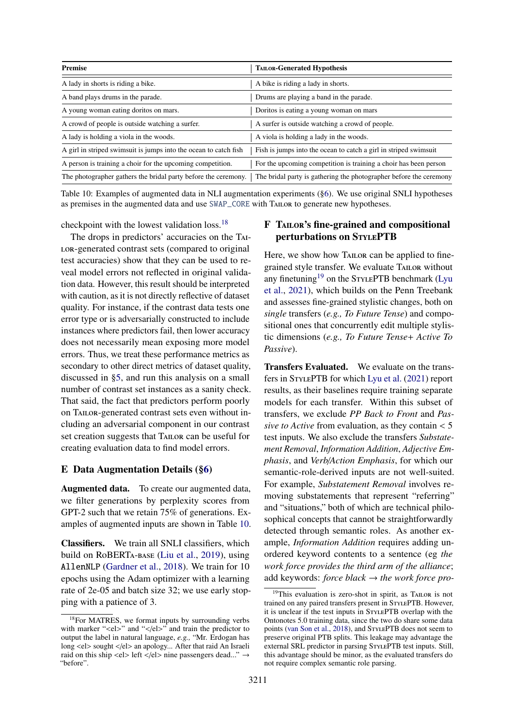<span id="page-17-3"></span>

| <b>Premise</b>                                                   | <b>TAILOR-Generated Hypothesis</b>                                 |
|------------------------------------------------------------------|--------------------------------------------------------------------|
| A lady in shorts is riding a bike.                               | A bike is riding a lady in shorts.                                 |
| A band plays drums in the parade.                                | Drums are playing a band in the parade.                            |
| A young woman eating doritos on mars.                            | Doritos is eating a young woman on mars                            |
| A crowd of people is outside watching a surfer.                  | A surfer is outside watching a crowd of people.                    |
| A lady is holding a viola in the woods.                          | A viola is holding a lady in the woods.                            |
| A girl in striped swimsuit is jumps into the ocean to catch fish | Fish is jumps into the ocean to catch a girl in striped swimsuit   |
| A person is training a choir for the upcoming competition.       | For the upcoming competition is training a choir has been person   |
| The photographer gathers the bridal party before the ceremony.   | The bridal party is gathering the photographer before the ceremony |

Table 10: Examples of augmented data in NLI augmentation experiments ([§6\)](#page-7-0). We use original SNLI hypotheses as premises in the augmented data and use SWAP\_CORE with Tailor to generate new hypotheses.

checkpoint with the lowest validation loss.[18](#page-17-2)

The drops in predictors' accuracies on the Tai-LOR-generated contrast sets (compared to original test accuracies) show that they can be used to reveal model errors not reflected in original validation data. However, this result should be interpreted with caution, as it is not directly reflective of dataset quality. For instance, if the contrast data tests one error type or is adversarially constructed to include instances where predictors fail, then lower accuracy does not necessarily mean exposing more model errors. Thus, we treat these performance metrics as secondary to other direct metrics of dataset quality, discussed in [§5,](#page-5-0) and run this analysis on a small number of contrast set instances as a sanity check. That said, the fact that predictors perform poorly on Tailor-generated contrast sets even without including an adversarial component in our contrast set creation suggests that Tailor can be useful for creating evaluation data to find model errors.

## <span id="page-17-1"></span>E Data Augmentation Details ([§6\)](#page-7-0)

Augmented data. To create our augmented data, we filter generations by perplexity scores from GPT-2 such that we retain 75% of generations. Examples of augmented inputs are shown in Table [10.](#page-17-3)

Classifiers. We train all SNLI classifiers, which build on RoBERTa-base [\(Liu et al.,](#page-10-9) [2019\)](#page-10-9), using AllenNLP [\(Gardner et al.,](#page-9-14) [2018\)](#page-9-14). We train for 10 epochs using the Adam optimizer with a learning rate of 2e-05 and batch size 32; we use early stopping with a patience of 3.

# <span id="page-17-0"></span>F Tailor's fine-grained and compositional perturbations on STYLEPTB

Here, we show how TAILOR can be applied to finegrained style transfer. We evaluate Tailor without any finetuning<sup>[19](#page-17-4)</sup> on the STYLEPTB benchmark [\(Lyu](#page-10-2) [et al.,](#page-10-2) [2021\)](#page-10-2), which builds on the Penn Treebank and assesses fine-grained stylistic changes, both on *single* transfers (*e.g., To Future Tense*) and compositional ones that concurrently edit multiple stylistic dimensions (*e.g., To Future Tense*+ *Active To Passive*).

Transfers Evaluated. We evaluate on the transfers in StylePTB for which [Lyu et al.](#page-10-2) [\(2021\)](#page-10-2) report results, as their baselines require training separate models for each transfer. Within this subset of transfers, we exclude *PP Back to Front* and *Passive to Active* from evaluation, as they contain < <sup>5</sup> test inputs. We also exclude the transfers *Substatement Removal*, *Information Addition*, *Adjective Emphasis*, and *Verb*/*Action Emphasis*, for which our semantic-role-derived inputs are not well-suited. For example, *Substatement Removal* involves removing substatements that represent "referring" and "situations," both of which are technical philosophical concepts that cannot be straightforwardly detected through semantic roles. As another example, *Information Addition* requires adding unordered keyword contents to a sentence (eg *the work force provides the third arm of the alliance*; add keywords: *force black* → *the work force pro-*

<span id="page-17-2"></span> $18$  For MATRES, we format inputs by surrounding verbs with marker " $\langle$ el>" and " $\langle$ el>" and train the predictor to output the label in natural language, *e.g.,* "Mr. Erdogan has long <el> sought </el> an apology... After that raid An Israeli raid on this ship <el> left </el> nine passengers dead..."  $\rightarrow$ "before".

<span id="page-17-4"></span> $19$ This evaluation is zero-shot in spirit, as TAILOR is not trained on any paired transfers present in STYLEPTB. However, it is unclear if the test inputs in StylePTB overlap with the Ontonotes 5.0 training data, since the two do share some data points [\(van Son et al.,](#page-12-6) [2018\)](#page-12-6), and STYLEPTB does not seem to preserve original PTB splits. This leakage may advantage the external SRL predictor in parsing STYLEPTB test inputs. Still, this advantage should be minor, as the evaluated transfers do not require complex semantic role parsing.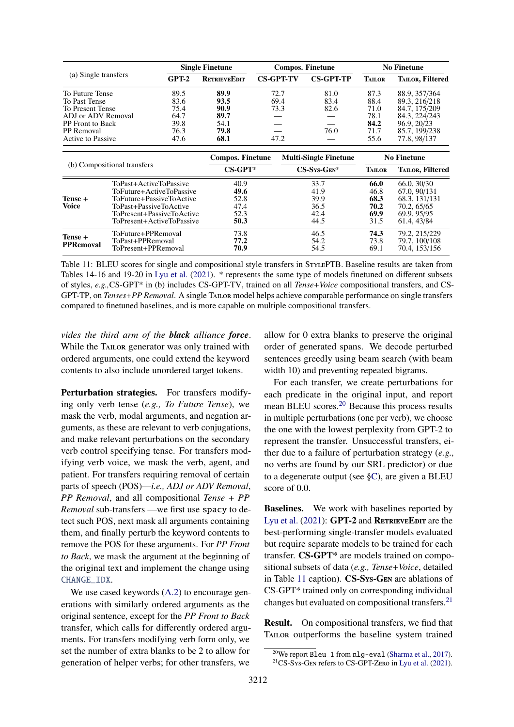<span id="page-18-0"></span>

| (a) Single transfers        |                           |                          | <b>Single Finetune</b> |                  |                | <b>Compos. Finetune</b>      | <b>No Finetune</b> |                         |  |
|-----------------------------|---------------------------|--------------------------|------------------------|------------------|----------------|------------------------------|--------------------|-------------------------|--|
|                             |                           | $GPT-2$                  | <b>RETRIEVEEDIT</b>    | <b>CS-GPT-TV</b> |                | <b>CS-GPT-TP</b>             | <b>TAILOR</b>      | <b>TAILOR, Filtered</b> |  |
| To Future Tense             |                           | 89.5                     | 89.9                   | 72.7             |                | 81.0                         | 87.3               | 88.9, 357/364           |  |
| To Past Tense               |                           | 83.6                     | 93.5                   | 69.4             |                | 83.4                         | 88.4               | 89.3, 216/218           |  |
| To Present Tense            |                           | 75.4                     | 90.9                   | 73.3             |                | 82.6                         | 71.0               | 84.7, 175/209           |  |
| ADJ or ADV Removal          |                           | 64.7                     | 89.7                   |                  |                |                              | 78.1               | 84.3, 224/243           |  |
| <b>PP</b> Front to Back     |                           | 39.8                     | 54.1                   |                  |                |                              | 84.2               | 96.9, 20/23             |  |
| <b>PP</b> Removal           |                           | 76.3                     | 79.8                   |                  |                | 76.0                         | 71.7               | 85.7, 199/238           |  |
| Active to Passive           |                           | 47.6                     | 68.1                   |                  | 47.2           |                              | 55.6               | 77.8, 98/137            |  |
|                             |                           |                          | Compos. Finetune       |                  |                | <b>Multi-Single Finetune</b> |                    | <b>No Finetune</b>      |  |
| (b) Compositional transfers |                           |                          | $CS-GPT*$              |                  | $CS-Sys-GEN^*$ |                              | <b>TAILOR</b>      | <b>TAILOR, Filtered</b> |  |
|                             | ToPast+ActiveToPassive    |                          | 40.9                   |                  |                | 33.7                         | 66.0               | 66.0, 30/30             |  |
|                             | ToFuture+ActiveToPassive  |                          | 49.6                   |                  |                | 41.9                         | 46.8               | 67.0, 90/131            |  |
| Tense +                     |                           | ToFuture+PassiveToActive |                        |                  |                | 39.9                         | 68.3               | 68.3, 131/131           |  |
| Voice                       | ToPast+PassiveToActive    |                          | 47.4                   |                  |                | 36.5                         | 70.2               | 70.2, 65/65             |  |
|                             | ToPresent+PassiveToActive |                          | 52.3                   |                  |                | 42.4                         | 69.9               | 69.9, 95/95             |  |
|                             | ToPresent+ActiveToPassive |                          | 50.3                   |                  |                | 44.5                         | 31.5               | 61.4, 43/84             |  |
| Tense +                     | ToFuture+PPRemoval        |                          | 73.8                   |                  |                | 46.5                         | 74.3               | 79.2, 215/229           |  |
| PPRemoval                   | ToPast+PPRemoval          |                          | 77.2                   |                  |                | 54.2                         | 73.8               | 79.7, 100/108           |  |
|                             | ToPresent+PPRemoval       |                          | 70.9                   |                  |                | 54.5                         | 69.1               | 70.4, 153/156           |  |

Table 11: BLEU scores for single and compositional style transfers in STYLEPTB. Baseline results are taken from Tables 14-16 and 19-20 in [Lyu et al.](#page-10-2) [\(2021\)](#page-10-2). \* represents the same type of models finetuned on different subsets of styles, *e.g.,*CS-GPT\* in (b) includes CS-GPT-TV, trained on all *Tense*+*Voice* compositional transfers, and CS-GPT-TP, on *Tenses*+*PP Removal*. A single Tailor model helps achieve comparable performance on single transfers compared to finetuned baselines, and is more capable on multiple compositional transfers.

*vides the third arm of the black alliance force*. While the TAILOR generator was only trained with ordered arguments, one could extend the keyword contents to also include unordered target tokens.

Perturbation strategies. For transfers modifying only verb tense (*e.g., To Future Tense*), we mask the verb, modal arguments, and negation arguments, as these are relevant to verb conjugations, and make relevant perturbations on the secondary verb control specifying tense. For transfers modifying verb voice, we mask the verb, agent, and patient. For transfers requiring removal of certain parts of speech (POS)—*i.e., ADJ or ADV Removal*, *PP Removal*, and all compositional *Tense* + *PP Removal* sub-transfers —we first use spacy to detect such POS, next mask all arguments containing them, and finally perturb the keyword contents to remove the POS for these arguments. For *PP Front to Back*, we mask the argument at the beginning of the original text and implement the change using CHANGE\_IDX.

We use cased keywords [\(A.2\)](#page-13-1) to encourage generations with similarly ordered arguments as the original sentence, except for the *PP Front to Back* transfer, which calls for differently ordered arguments. For transfers modifying verb form only, we set the number of extra blanks to be 2 to allow for generation of helper verbs; for other transfers, we

allow for 0 extra blanks to preserve the original order of generated spans. We decode perturbed sentences greedly using beam search (with beam width 10) and preventing repeated bigrams.

For each transfer, we create perturbations for each predicate in the original input, and report mean BLEU scores.[20](#page-18-1) Because this process results in multiple perturbations (one per verb), we choose the one with the lowest perplexity from GPT-2 to represent the transfer. Unsuccessful transfers, either due to a failure of perturbation strategy (*e.g.,* no verbs are found by our SRL predictor) or due to a degenerate output (see [§C\)](#page-14-0), are given a BLEU score of 0.0.

Baselines. We work with baselines reported by [Lyu et al.](#page-10-2)  $(2021)$ : GPT-2 and RETRIEVEEDIT are the best-performing single-transfer models evaluated but require separate models to be trained for each transfer. CS-GPT\* are models trained on compositional subsets of data (*e.g., Tense*+*Voice*, detailed in Table [11](#page-18-0) caption). CS-Sys-Gen are ablations of CS-GPT\* trained only on corresponding individual changes but evaluated on compositional transfers.[21](#page-18-2)

Result. On compositional transfers, we find that Tailor outperforms the baseline system trained

<span id="page-18-2"></span><span id="page-18-1"></span><sup>&</sup>lt;sup>20</sup>We report Bleu\_1 from nlg-eval [\(Sharma et al.,](#page-11-17) [2017\)](#page-11-17).  $21CS-Sys-GEN$  refers to CS-GPT-Zero in [Lyu et al.](#page-10-2) [\(2021\)](#page-10-2).